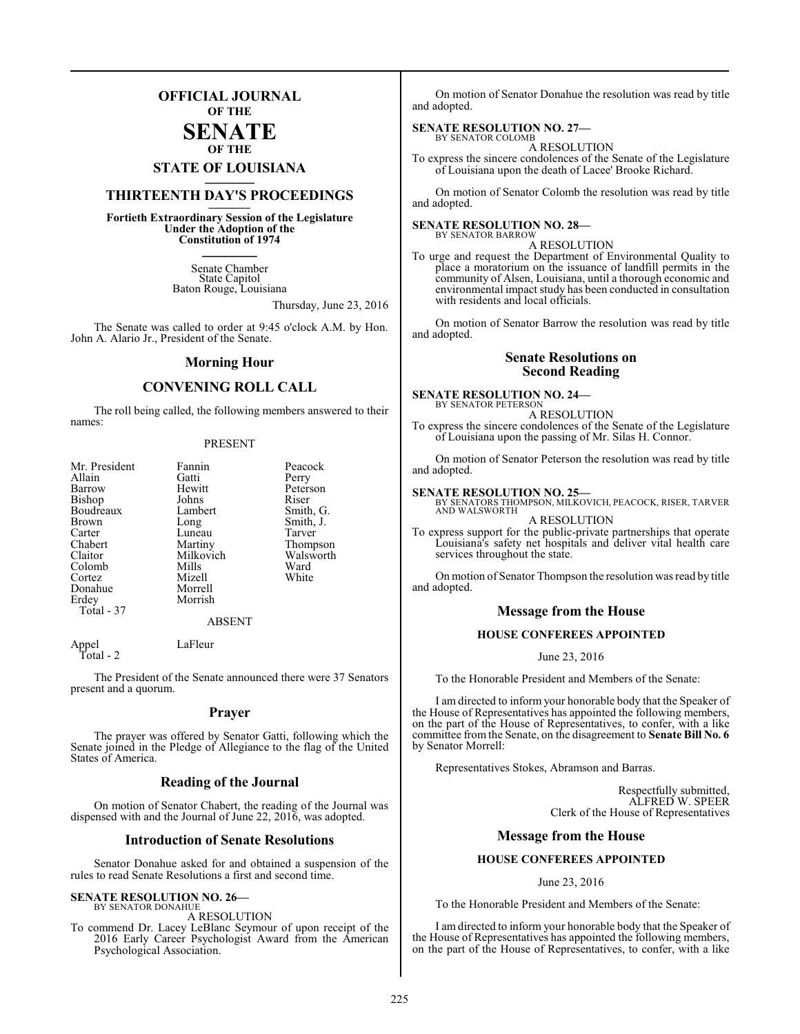## **OFFICIAL JOURNAL OF THE**

#### **SENATE OF THE**

# **STATE OF LOUISIANA \_\_\_\_\_\_\_**

## **THIRTEENTH DAY'S PROCEEDINGS \_\_\_\_\_\_\_**

**Fortieth Extraordinary Session of the Legislature Under the Adoption of the Constitution of 1974 \_\_\_\_\_\_\_**

> Senate Chamber State Capitol Baton Rouge, Louisiana

> > Thursday, June 23, 2016

The Senate was called to order at 9:45 o'clock A.M. by Hon. John A. Alario Jr., President of the Senate.

#### **Morning Hour**

#### **CONVENING ROLL CALL**

The roll being called, the following members answered to their names:

#### PRESENT

| Mr. President | Fannin    | Peacock   |
|---------------|-----------|-----------|
| Allain        | Gatti     | Perry     |
| Barrow        | Hewitt    | Peterson  |
| Bishop        | Johns     | Riser     |
| Boudreaux     | Lambert   | Smith, G. |
| <b>Brown</b>  | Long      | Smith, J. |
| Carter        | Luneau    | Tarver    |
| Chabert       | Martiny   | Thompson  |
| Claitor       | Milkovich | Walsworth |
| Colomb        | Mills     | Ward      |
| Cortez        | Mizell    | White     |
| Donahue       | Morrell   |           |
| Erdey         | Morrish   |           |
| Total - 37    |           |           |
|               | ABSENT    |           |

Appel LaFleur Total - 2

The President of the Senate announced there were 37 Senators present and a quorum.

#### **Prayer**

The prayer was offered by Senator Gatti, following which the Senate joined in the Pledge of Allegiance to the flag of the United States of America.

#### **Reading of the Journal**

On motion of Senator Chabert, the reading of the Journal was dispensed with and the Journal of June 22, 2016, was adopted.

#### **Introduction of Senate Resolutions**

Senator Donahue asked for and obtained a suspension of the rules to read Senate Resolutions a first and second time.

#### **SENATE RESOLUTION NO. 26—**

BY SENATOR DONAHUE A RESOLUTION

To commend Dr. Lacey LeBlanc Seymour of upon receipt of the 2016 Early Career Psychologist Award from the American Psychological Association.

On motion of Senator Donahue the resolution was read by title and adopted.

#### **SENATE RESOLUTION NO. 27—** BY SENATOR COLOMB

A RESOLUTION

To express the sincere condolences of the Senate of the Legislature of Louisiana upon the death of Lacee' Brooke Richard.

On motion of Senator Colomb the resolution was read by title and adopted.

## **SENATE RESOLUTION NO. 28—** BY SENATOR BARROW

A RESOLUTION To urge and request the Department of Environmental Quality to

place a moratorium on the issuance of landfill permits in the community of Alsen, Louisiana, until a thorough economic and environmental impact study has been conducted in consultation with residents and local officials.

On motion of Senator Barrow the resolution was read by title and adopted.

#### **Senate Resolutions on Second Reading**

**SENATE RESOLUTION NO. 24—**

BY SENATOR PETERSON A RESOLUTION

To express the sincere condolences of the Senate of the Legislature of Louisiana upon the passing of Mr. Silas H. Connor.

On motion of Senator Peterson the resolution was read by title and adopted.

#### **SENATE RESOLUTION NO. 25—**

services throughout the state.

BY SENATORS THOMPSON, MILKOVICH, PEACOCK, RISER, TARVER AND WALSWORTH

A RESOLUTION To express support for the public-private partnerships that operate Louisiana's safety net hospitals and deliver vital health care

On motion of Senator Thompson the resolution was read by title and adopted.

#### **Message from the House**

#### **HOUSE CONFEREES APPOINTED**

June 23, 2016

To the Honorable President and Members of the Senate:

I am directed to inform your honorable body that the Speaker of the House of Representatives has appointed the following members, on the part of the House of Representatives, to confer, with a like committee from the Senate, on the disagreement to **Senate Bill No. 6** by Senator Morrell:

Representatives Stokes, Abramson and Barras.

Respectfully submitted, ALFRED W. SPEER Clerk of the House of Representatives

#### **Message from the House**

#### **HOUSE CONFEREES APPOINTED**

June 23, 2016

To the Honorable President and Members of the Senate:

I am directed to inform your honorable body that the Speaker of the House of Representatives has appointed the following members, on the part of the House of Representatives, to confer, with a like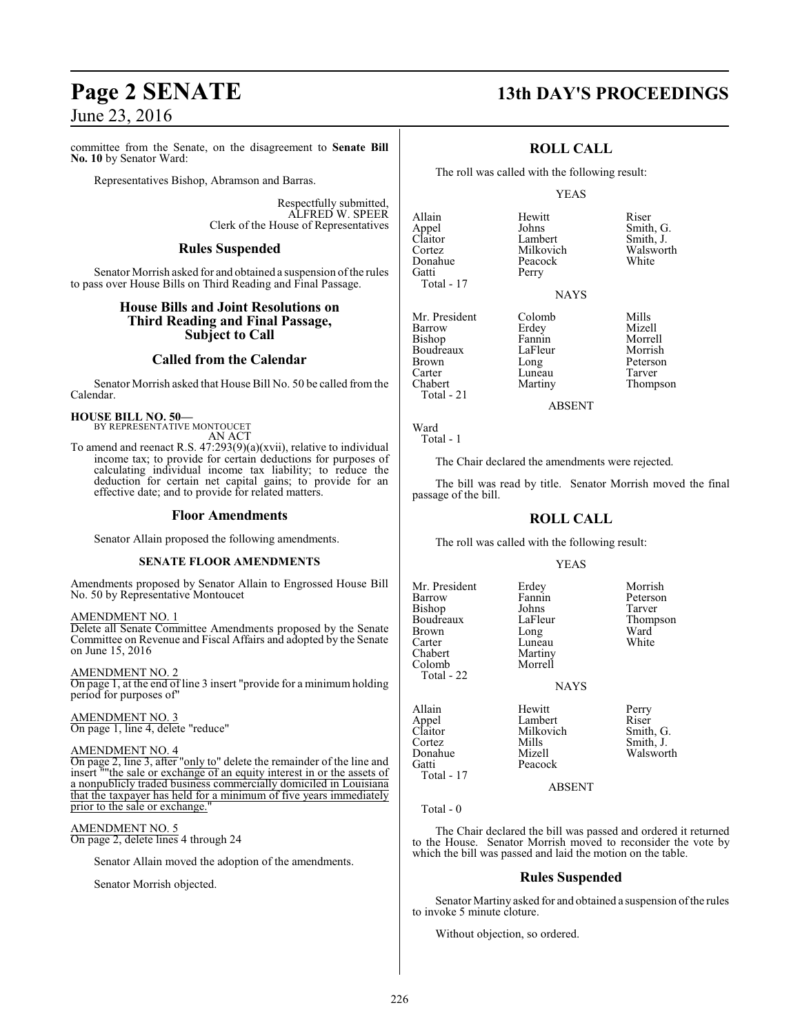committee from the Senate, on the disagreement to **Senate Bill No. 10** by Senator Ward:

Representatives Bishop, Abramson and Barras.

Respectfully submitted, ALFRED W. SPEER Clerk of the House of Representatives

#### **Rules Suspended**

Senator Morrish asked for and obtained a suspension of the rules to pass over House Bills on Third Reading and Final Passage.

#### **House Bills and Joint Resolutions on Third Reading and Final Passage, Subject to Call**

#### **Called from the Calendar**

Senator Morrish asked that House Bill No. 50 be called fromthe Calendar.

**HOUSE BILL NO. 50—** BY REPRESENTATIVE MONTOUCET

AN ACT

To amend and reenact R.S. 47:293(9)(a)(xvii), relative to individual income tax; to provide for certain deductions for purposes of calculating individual income tax liability; to reduce the deduction for certain net capital gains; to provide for an effective date; and to provide for related matters.

#### **Floor Amendments**

Senator Allain proposed the following amendments.

#### **SENATE FLOOR AMENDMENTS**

Amendments proposed by Senator Allain to Engrossed House Bill No. 50 by Representative Montoucet

AMENDMENT NO. 1

Delete all Senate Committee Amendments proposed by the Senate Committee on Revenue and Fiscal Affairs and adopted by the Senate on June 15, 2016

AMENDMENT NO. 2 On page 1, at the end of line 3 insert "provide for a minimum holding period for purposes of"

AMENDMENT NO. 3 On page 1, line 4, delete "reduce"

#### AMENDMENT NO. 4

On page 2, line 3, after "only to" delete the remainder of the line and insert ""the sale or exchange of an equity interest in or the assets of a nonpublicly traded business commercially domiciled in Louisiana that the taxpayer has held for a minimum of five years immediately prior to the sale or exchange.

AMENDMENT NO. 5 On page 2, delete lines 4 through 24

Senator Allain moved the adoption of the amendments.

Senator Morrish objected.

## **Page 2 SENATE 13th DAY'S PROCEEDINGS**

#### **ROLL CALL**

The roll was called with the following result:

Perry

#### YEAS

Allain Hewitt Riser Appel Johns Smith, G.<br>
Claitor Lambert Smith, J.<br>
Cortez Milkovich Walsworth Cortez **Milkovich** Walsworth Walsworth<br>
Donahue Peacock White Donahue Peacock<br>Gatti Perry Total - 17

Mr. President Colomb Mills<br>
Barrow Erdey Mizell Boudreaux LaFle<br>Brown Long Carter Luneau<br>Chabert Martiny

Barrow Erdey Mizell<br>Bishop Fannin Morrell Bishop Fannin Morrell<br>Boudreaux LaFleur Morrish Brown Long Deterson<br>Carter Luneau Tarver Thompson

ABSENT

Ward Total - 1

Total - 21

The Chair declared the amendments were rejected.

The bill was read by title. Senator Morrish moved the final passage of the bill.

#### **ROLL CALL**

The roll was called with the following result:

#### YEAS

Fannin Peterson<br>Johns Tarver

LaFleur Thompson<br>Long Ward

Mr. President Erdey Morrish<br>Barrow Fannin Peterson Bishop Johns<br>Boudreaux LaFleur Brown Long Ward<br>Carter Luneau White Carter Luneau<br>Chabert Martiny Colomb Total - 22

**NAYS** 

Milkovich

Peacock

Martiny<br>Morrell

Total - 17

Allain Hewitt Perry Appel Lambert Riser Cortez Mills Smith, J. Donahue Mizell Walsworth

#### ABSENT

Total - 0

The Chair declared the bill was passed and ordered it returned to the House. Senator Morrish moved to reconsider the vote by which the bill was passed and laid the motion on the table.

#### **Rules Suspended**

Senator Martiny asked for and obtained a suspension ofthe rules to invoke 5 minute cloture.

Without objection, so ordered.

Johns Smith, G.<br>Lambert Smith, J.

**NAYS**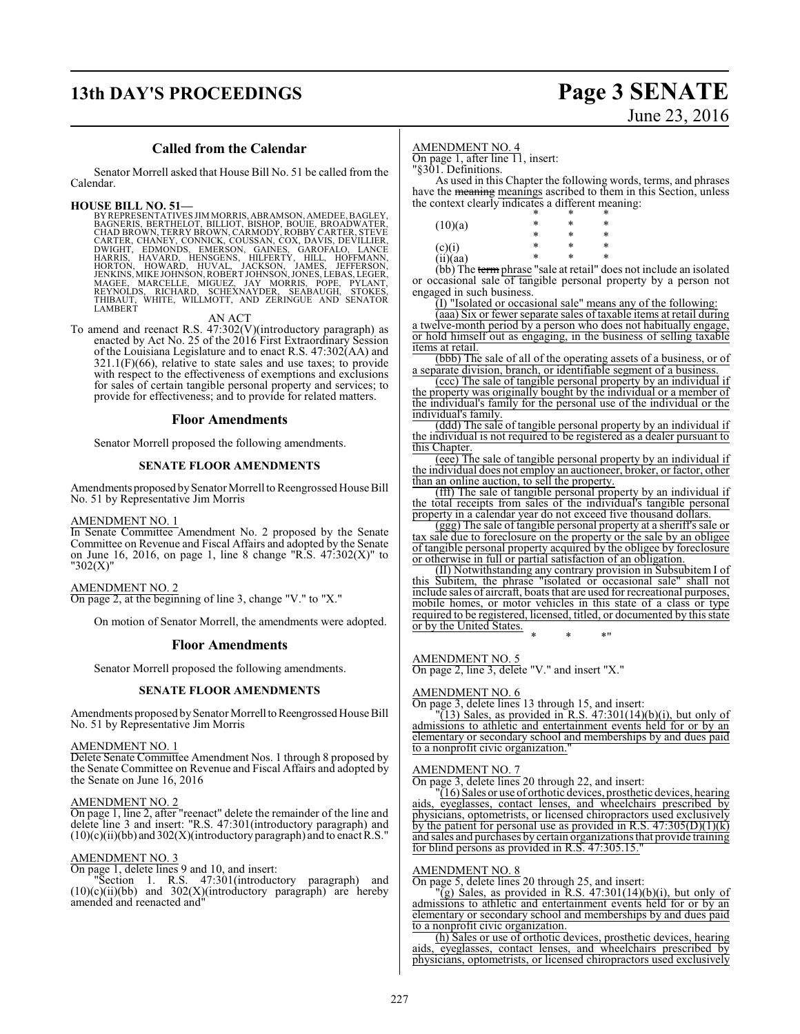## **13th DAY'S PROCEEDINGS Page 3 SENATE**

# June 23, 2016

#### **Called from the Calendar**

Senator Morrell asked that House Bill No. 51 be called from the Calendar.

HOUSE BILL NO. 51—<br>BY REPRESENTATIVES JIMMORRIS, ABRAMSON, AMEDEE, BAGLEY, BAGNERIS, BERTHELOT, BILLIOT, BISHOP, BOUIE, BROADWATER,<br>CHAD BROWN, TERRY BROWN, CARMODY, ROBBY CARTER, STEVE<br>CARTER, CHANEY, CONNICK, COUSSAN, CO

AN ACT

To amend and reenact R.S. 47:302(V)(introductory paragraph) as enacted by Act No. 25 of the 2016 First Extraordinary Session of the Louisiana Legislature and to enact R.S. 47:302(AA) and  $321.1(F)(66)$ , relative to state sales and use taxes; to provide with respect to the effectiveness of exemptions and exclusions for sales of certain tangible personal property and services; to provide for effectiveness; and to provide for related matters.

#### **Floor Amendments**

Senator Morrell proposed the following amendments.

#### **SENATE FLOOR AMENDMENTS**

Amendments proposed by Senator Morrell to Reengrossed House Bill No. 51 by Representative Jim Morris

#### AMENDMENT NO. 1

In Senate Committee Amendment No. 2 proposed by the Senate Committee on Revenue and Fiscal Affairs and adopted by the Senate on June 16, 2016, on page 1, line 8 change "R.S.  $47:302(X)$ " to "302(X)"

#### AMENDMENT NO. 2

On page 2, at the beginning of line 3, change "V." to "X."

On motion of Senator Morrell, the amendments were adopted.

#### **Floor Amendments**

Senator Morrell proposed the following amendments.

#### **SENATE FLOOR AMENDMENTS**

Amendments proposed by Senator Morrell to Reengrossed House Bill No. 51 by Representative Jim Morris

#### AMENDMENT NO. 1

Delete Senate Committee Amendment Nos. 1 through 8 proposed by the Senate Committee on Revenue and Fiscal Affairs and adopted by the Senate on June 16, 2016

#### AMENDMENT NO. 2

On page 1, line 2, after "reenact" delete the remainder of the line and delete line 3 and insert: "R.S. 47:301(introductory paragraph) and  $(10)(c)(ii)(bb)$  and  $302(X)(introducing paragram)$  and to enact R.S."

#### AMENDMENT NO. 3

On page 1, delete lines 9 and 10, and insert:

"Section 1. R.S. 47:301(introductory paragraph) and  $(10)(c)(ii)(bb)$  and  $302(X)(introducing paragraph)$  are hereby amended and reenacted and"

#### AMENDMENT NO. 4

On page 1, after line 11, insert:

"§301. Definitions.

As used in this Chapter the following words, terms, and phrases have the **meaning** meanings ascribed to them in this Section, unless the context clearly indicates a different meaning:

|                       | *     | *                            | * |
|-----------------------|-------|------------------------------|---|
| (10)(a)               | *     | *                            | * |
|                       | ÷     | *                            | * |
|                       | *     | *                            | * |
| $(c)(i)$<br>(ii)(aa)  | ÷     | *                            | * |
| $4.1.7 \, \mathrm{m}$ | <br>1 | <br>$\sim$<br>$\overline{a}$ |   |

(bb) The term phrase "sale at retail" does not include an isolated or occasional sale of tangible personal property by a person not engaged in such business.

(I) "Isolated or occasional sale" means any of the following:

(aaa) Six or fewer separate sales of taxable items at retail during a twelve-month period by a person who does not habitually engage, or hold himself out as engaging, in the business of selling taxable items at retail.

(bbb) The sale of all of the operating assets of a business, or of a separate division, branch, or identifiable segment of a business.

(ccc) The sale of tangible personal property by an individual if the property was originally bought by the individual or a member of the individual's family for the personal use of the individual or the individual's family.

(ddd) The sale of tangible personal property by an individual if the individual is not required to be registered as a dealer pursuant to this Chapter.

(eee) The sale of tangible personal property by an individual if the individual does not employ an auctioneer, broker, or factor, other than an online auction, to sell the property.

(fff) The sale of tangible personal property by an individual if the total receipts from sales of the individual's tangible personal property in a calendar year do not exceed five thousand dollars.

(ggg) The sale of tangible personal property at a sheriff's sale or tax sale due to foreclosure on the property or the sale by an obligee of tangible personal property acquired by the obligee by foreclosure or otherwise in full or partial satisfaction of an obligation.

(II) Notwithstanding any contrary provision in Subsubitem I of this Subitem, the phrase "isolated or occasional sale" shall not include sales of aircraft, boats that are used for recreational purposes, mobile homes, or motor vehicles in this state of a class or type required to be registered, licensed, titled, or documented by this state or by the United States.

\* \* \*"

AMENDMENT NO. 5

On page 2, line 3, delete "V." and insert "X."

#### AMENDMENT NO. 6

On page 3, delete lines 13 through 15, and insert:

 $\sqrt{13}$ ) Sales, as provided in R.S. 47:301(14)(b)(i), but only of admissions to athletic and entertainment events held for or by an elementary or secondary school and memberships by and dues paid to a nonprofit civic organization.

#### AMENDMENT NO. 7

On page 3, delete lines 20 through 22, and insert:

 $(16)$  Sales or use of orthotic devices, prosthetic devices, hearing aids, eyeglasses, contact lenses, and wheelchairs prescribed by physicians, optometrists, or licensed chiropractors used exclusively by the patient for personal use as provided in R.S.  $47:305(D)(1)(k)$ and sales and purchases by certain organizations that provide training for blind persons as provided in R.S. 47:305.15."

#### AMENDMENT NO. 8

On page 5, delete lines 20 through 25, and insert:

 $\overline{g}$ ) Sales, as provided in R.S. 47:301(14)(b)(i), but only of admissions to athletic and entertainment events held for or by an elementary or secondary school and memberships by and dues paid to a nonprofit civic organization.

(h) Sales or use of orthotic devices, prosthetic devices, hearing aids, eyeglasses, contact lenses, and wheelchairs prescribed by physicians, optometrists, or licensed chiropractors used exclusively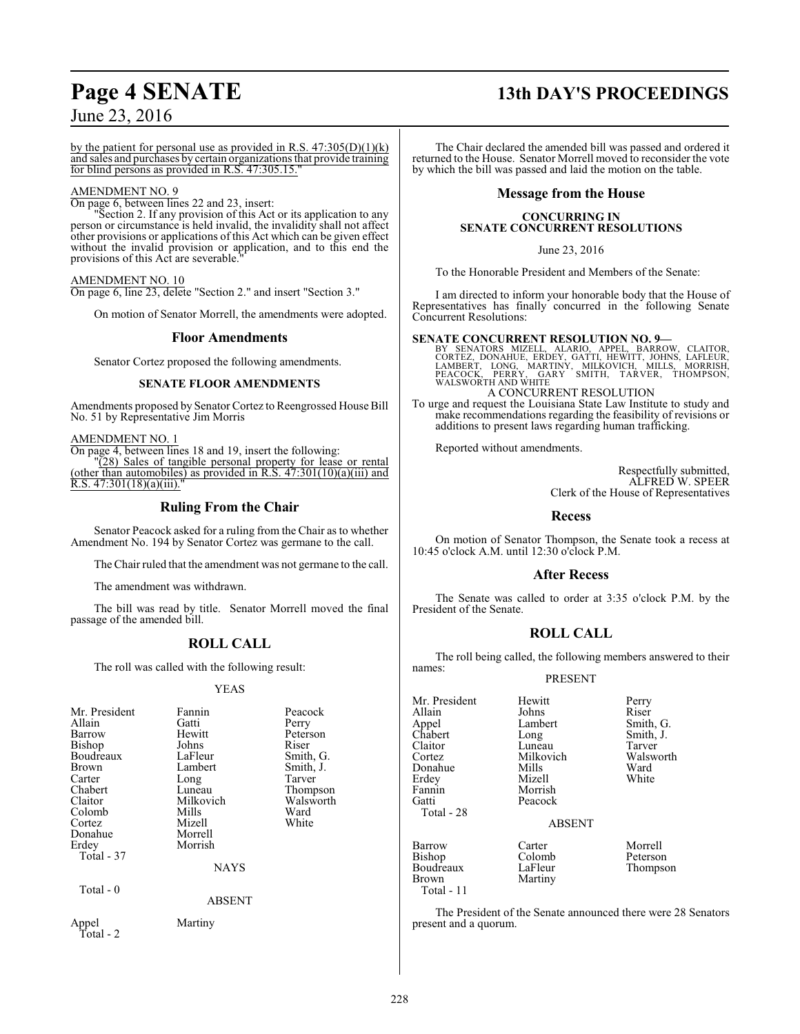## **Page 4 SENATE 13th DAY'S PROCEEDINGS**

by the patient for personal use as provided in R.S.  $47:305(D)(1)(k)$ and sales and purchases by certain organizations that provide training for blind persons as provided in R.S. 47:305.15."

#### AMENDMENT NO. 9

On page 6, between lines 22 and 23, insert:

Section 2. If any provision of this Act or its application to any person or circumstance is held invalid, the invalidity shall not affect other provisions or applications of this Act which can be given effect without the invalid provision or application, and to this end the provisions of this Act are severable.

#### AMENDMENT NO. 10

On page 6, line 23, delete "Section 2." and insert "Section 3."

On motion of Senator Morrell, the amendments were adopted.

#### **Floor Amendments**

Senator Cortez proposed the following amendments.

#### **SENATE FLOOR AMENDMENTS**

Amendments proposed by Senator Cortez to Reengrossed House Bill No. 51 by Representative Jim Morris

AMENDMENT NO. 1

On page 4, between lines 18 and 19, insert the following:

"(28) Sales of tangible personal property for lease or rental (other than automobiles) as provided in R.S.  $47:301(10)(a)(iii)$  and  $R.S. 47:301(18)(a)(iii)$ .

### **Ruling From the Chair**

Senator Peacock asked for a ruling from the Chair as to whether Amendment No. 194 by Senator Cortez was germane to the call.

The Chair ruled that the amendment was not germane to the call.

The amendment was withdrawn.

The bill was read by title. Senator Morrell moved the final passage of the amended bill.

## **ROLL CALL**

The roll was called with the following result:

#### YEAS

| Mr. President<br>Allain<br>Barrow<br>Bishop<br>Boudreaux<br>Brown<br>Carter<br>Chabert<br>Claitor<br>Colomb<br>Cortez<br>Donahue<br>Erdey | Fannin<br>Gatti<br>Hewitt<br>Johns<br>LaFleur<br>Lambert<br>Long<br>Luneau<br>Milkovich<br>Mills<br>Mizell<br>Morrell<br>Morrish | Peacock<br>Perry<br>Peterson<br>Riser<br>Smith, G.<br>Smith, J.<br>Tarver<br>Thompson<br>Walsworth<br>Ward<br>White |
|-------------------------------------------------------------------------------------------------------------------------------------------|----------------------------------------------------------------------------------------------------------------------------------|---------------------------------------------------------------------------------------------------------------------|
| Total - 37                                                                                                                                | <b>NAYS</b>                                                                                                                      |                                                                                                                     |
| Total $-0$                                                                                                                                | <b>ABSENT</b>                                                                                                                    |                                                                                                                     |
| Appel<br>Total - 2                                                                                                                        | Martiny                                                                                                                          |                                                                                                                     |

The Chair declared the amended bill was passed and ordered it returned to the House. Senator Morrell moved to reconsider the vote by which the bill was passed and laid the motion on the table.

#### **Message from the House**

#### **CONCURRING IN SENATE CONCURRENT RESOLUTIONS**

June 23, 2016

To the Honorable President and Members of the Senate:

I am directed to inform your honorable body that the House of Representatives has finally concurred in the following Senate Concurrent Resolutions:

#### **SENATE CONCURRENT RESOLUTION NO. 9—**

BY SENATORS MIZELL, ALARIO, APPEL, BARROW, CLAITOR,<br>CORTEZ, DONAHUE, ERDEY, GATTI, HEWITT, JOHNS, LAFLEUR,<br>LAMBERT, LONG, MARTINY, MILKOVICH, MILLS, MORRISH,<br>PEACOCK, PERRY, GARY SMITH, TARVER, THOMPSON,<br>WALSWORTHANDWHITE

A CONCURRENT RESOLUTION

To urge and request the Louisiana State Law Institute to study and make recommendations regarding the feasibility of revisions or additions to present laws regarding human trafficking.

Reported without amendments.

Respectfully submitted, ALFRED W. SPEER Clerk of the House of Representatives

#### **Recess**

On motion of Senator Thompson, the Senate took a recess at 10:45 o'clock A.M. until 12:30 o'clock P.M.

#### **After Recess**

The Senate was called to order at 3:35 o'clock P.M. by the President of the Senate.

## **ROLL CALL**

The roll being called, the following members answered to their names:

#### PRESENT

| Mr. President<br>Allain<br>Appel<br>Chabert<br>Claitor<br>Cortez<br>Donahue<br>Erdey<br>Fannin<br>Gatti<br>Total - 28 | Hewitt<br>Johns<br>Lambert<br>Long<br>Luneau<br>Milkovich<br>Mills<br>Mizell<br>Morrish<br>Peacock<br><b>ABSENT</b> | Perry<br>Riser<br>Smith, G.<br>Smith, J.<br>Tarver<br>Walsworth<br>Ward<br>White |
|-----------------------------------------------------------------------------------------------------------------------|---------------------------------------------------------------------------------------------------------------------|----------------------------------------------------------------------------------|
| Barrow                                                                                                                | Carter                                                                                                              | Morrell                                                                          |
| Bishop                                                                                                                | Colomb                                                                                                              | Peterson                                                                         |
| Boudreaux                                                                                                             | LaFleur                                                                                                             | Thompson                                                                         |

Brown Martiny

Total - 11

The President of the Senate announced there were 28 Senators present and a quorum.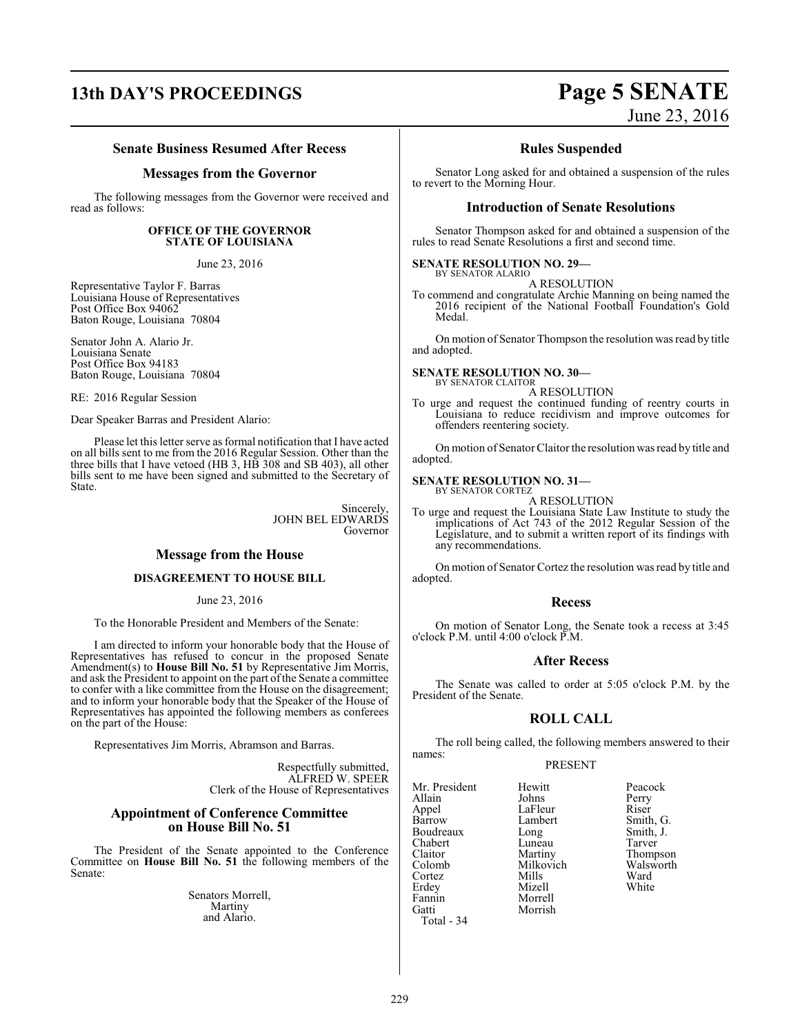# **13th DAY'S PROCEEDINGS Page 5 SENATE**

#### **Senate Business Resumed After Recess**

#### **Messages from the Governor**

The following messages from the Governor were received and read as follows:

#### **OFFICE OF THE GOVERNOR STATE OF LOUISIANA**

June 23, 2016

Representative Taylor F. Barras Louisiana House of Representatives Post Office Box 94062 Baton Rouge, Louisiana 70804

Senator John A. Alario Jr. Louisiana Senate Post Office Box 94183 Baton Rouge, Louisiana 70804

RE: 2016 Regular Session

Dear Speaker Barras and President Alario:

Please let this letter serve as formal notification that I have acted on all bills sent to me from the 2016 Regular Session. Other than the three bills that I have vetoed (HB 3, HB 308 and SB 403), all other bills sent to me have been signed and submitted to the Secretary of State.

> Sincerely, JOHN BEL EDWARDS Governor

#### **Message from the House**

#### **DISAGREEMENT TO HOUSE BILL**

June 23, 2016

To the Honorable President and Members of the Senate:

I am directed to inform your honorable body that the House of Representatives has refused to concur in the proposed Senate Amendment(s) to **House Bill No. 51** by Representative Jim Morris, and ask the President to appoint on the part ofthe Senate a committee to confer with a like committee from the House on the disagreement; and to inform your honorable body that the Speaker of the House of Representatives has appointed the following members as conferees on the part of the House:

Representatives Jim Morris, Abramson and Barras.

Respectfully submitted, ALFRED W. SPEER Clerk of the House of Representatives

#### **Appointment of Conference Committee on House Bill No. 51**

The President of the Senate appointed to the Conference Committee on **House Bill No. 51** the following members of the Senate:

> Senators Morrell, Martiny and Alario.

# June 23, 2016

#### **Rules Suspended**

Senator Long asked for and obtained a suspension of the rules to revert to the Morning Hour.

#### **Introduction of Senate Resolutions**

Senator Thompson asked for and obtained a suspension of the rules to read Senate Resolutions a first and second time.

#### **SENATE RESOLUTION NO. 29—**

BY SENATOR ALARIO A RESOLUTION

To commend and congratulate Archie Manning on being named the 2016 recipient of the National Football Foundation's Gold Medal.

On motion of Senator Thompson the resolution was read by title and adopted.

**SENATE RESOLUTION NO. 30—** BY SENATOR CLAITOR

A RESOLUTION

To urge and request the continued funding of reentry courts in Louisiana to reduce recidivism and improve outcomes for offenders reentering society.

On motion of Senator Claitor the resolution was read by title and adopted.

## **SENATE RESOLUTION NO. 31—** BY SENATOR CORTEZ

A RESOLUTION

To urge and request the Louisiana State Law Institute to study the implications of Act 743 of the 2012 Regular Session of the Legislature, and to submit a written report of its findings with any recommendations.

On motion of Senator Cortez the resolution was read by title and adopted.

#### **Recess**

On motion of Senator Long, the Senate took a recess at 3:45 o'clock P.M. until 4:00 o'clock P.M.

#### **After Recess**

The Senate was called to order at 5:05 o'clock P.M. by the President of the Senate.

#### **ROLL CALL**

The roll being called, the following members answered to their names:

#### PRESENT

Morrish

Mr. President Hewitt Peacock<br>Allain Johns Perry Allain Johns Perry Appel LaFleur<br>Barrow Lambert Boudreaux Long Smith,<br>
Chabert Luneau Tarver Chabert Luneau<br>Claitor Martiny Claitor Martiny Thompson Colomb Milkovich Walsworth Cortez Mills Ward Erdey Mizell White Fannin Morrell Total - 34

Lambert Smith, G.<br>
Long Smith, J.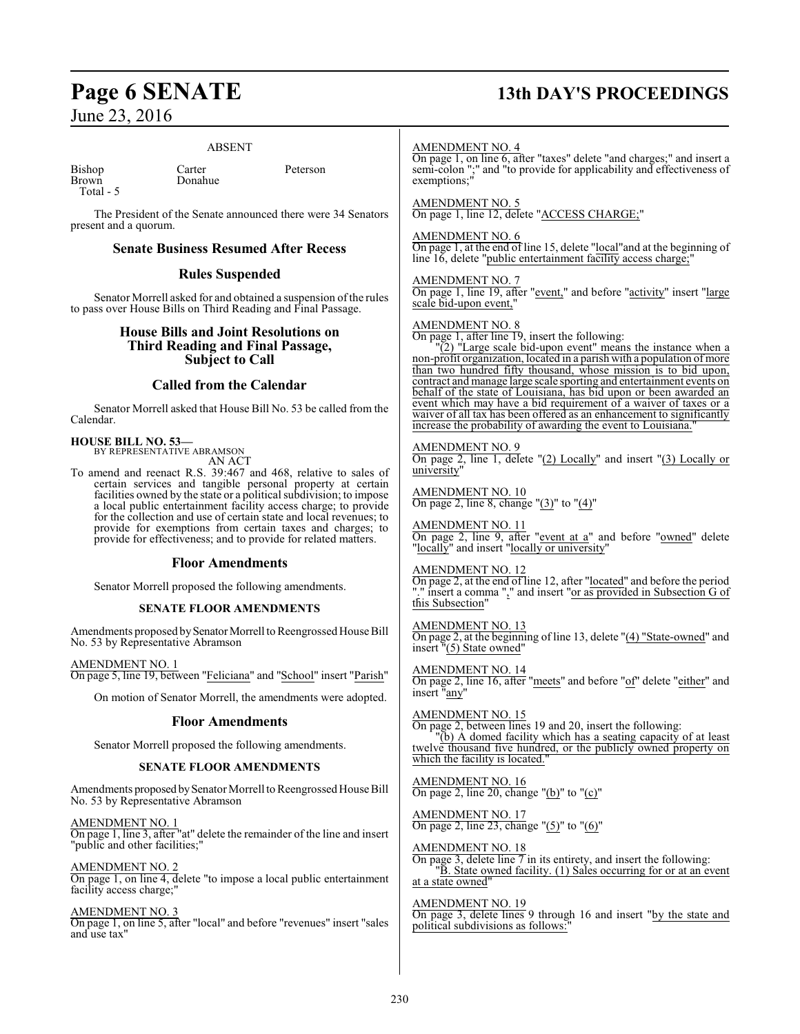## **Page 6 SENATE 13th DAY'S PROCEEDINGS**

June 23, 2016

#### ABSENT

Bishop Carter Peterson<br>Brown Donahue Total - 5

Donahue

The President of the Senate announced there were 34 Senators present and a quorum.

#### **Senate Business Resumed After Recess**

#### **Rules Suspended**

Senator Morrell asked for and obtained a suspension of the rules to pass over House Bills on Third Reading and Final Passage.

#### **House Bills and Joint Resolutions on Third Reading and Final Passage, Subject to Call**

#### **Called from the Calendar**

Senator Morrell asked that House Bill No. 53 be called from the Calendar.

#### **HOUSE BILL NO. 53—**

BY REPRESENTATIVE ABRAMSON AN ACT

To amend and reenact R.S. 39:467 and 468, relative to sales of certain services and tangible personal property at certain facilities owned by the state or a political subdivision; to impose a local public entertainment facility access charge; to provide for the collection and use of certain state and local revenues; to provide for exemptions from certain taxes and charges; to provide for effectiveness; and to provide for related matters.

#### **Floor Amendments**

Senator Morrell proposed the following amendments.

#### **SENATE FLOOR AMENDMENTS**

Amendments proposed by Senator Morrell to Reengrossed House Bill No. 53 by Representative Abramson

AMENDMENT NO. 1 On page 5, line 19, between "Feliciana" and "School" insert "Parish"

On motion of Senator Morrell, the amendments were adopted.

#### **Floor Amendments**

Senator Morrell proposed the following amendments.

#### **SENATE FLOOR AMENDMENTS**

Amendments proposed by Senator Morrell to Reengrossed House Bill No. 53 by Representative Abramson

AMENDMENT NO. 1 On page 1, line 3, after "at" delete the remainder of the line and insert "public and other facilities;"

AMENDMENT NO. 2 On page 1, on line 4, delete "to impose a local public entertainment facility access charge;'

#### AMENDMENT NO. 3

On page 1, on line 5, after "local" and before "revenues" insert "sales and use tax"

#### AMENDMENT NO. 4

On page 1, on line 6, after "taxes" delete "and charges;" and insert a semi-colon ";" and "to provide for applicability and effectiveness of exemptions;"

## AMENDMENT NO. 5

On page 1, line 12, delete "ACCESS CHARGE;"

#### AMENDMENT NO. 6

On page 1, at the end of line 15, delete "local"and at the beginning of line 16, delete "public entertainment facility access charge;"

#### AMENDMENT NO. 7

On page 1, line 19, after "event," and before "activity" insert "large scale bid-upon event,

#### AMENDMENT NO. 8

On page 1, after line 19, insert the following:

 $\sqrt{2}$ ) "Large scale bid-upon event" means the instance when a non-profit organization, located in a parish with a population of more than two hundred fifty thousand, whose mission is to bid upon, contract and manage large scale sporting and entertainment events on behalf of the state of Louisiana, has bid upon or been awarded an event which may have a bid requirement of a waiver of taxes or a waiver of all tax has been offered as an enhancement to significantly increase the probability of awarding the event to Louisiana.

#### AMENDMENT NO. 9

On page 2, line 1, delete "(2) Locally" and insert "(3) Locally or university"

AMENDMENT NO. 10 On page 2, line 8, change " $(3)$ " to " $(4)$ "

AMENDMENT NO. 11 On page 2, line 9, after "event at a" and before "owned" delete "locally" and insert "locally or university"

AMENDMENT NO. 12 On page 2, at the end of line 12, after "located" and before the period "." insert a comma "," and insert "or as provided in Subsection G of this Subsection"

AMENDMENT NO. 13 On page 2, at the beginning of line 13, delete "(4) "State-owned" and insert "(5) State owned"

AMENDMENT NO. 14 On page 2, line 16, after "meets" and before "of" delete "either" and insert "any"

AMENDMENT NO. 15 On page 2, between lines 19 and 20, insert the following: "(b) A domed facility which has a seating capacity of at least twelve thousand five hundred, or the publicly owned property on which the facility is located.

AMENDMENT NO. 16 On page 2, line 20, change "(b)" to "(c)"

AMENDMENT NO. 17 On page 2, line 23, change "(5)" to "(6)"

AMENDMENT NO. 18 On page 3, delete line 7 in its entirety, and insert the following: "B. State owned facility. (1) Sales occurring for or at an event at a state owned"

AMENDMENT NO. 19 On page 3, delete lines 9 through 16 and insert "by the state and political subdivisions as follows: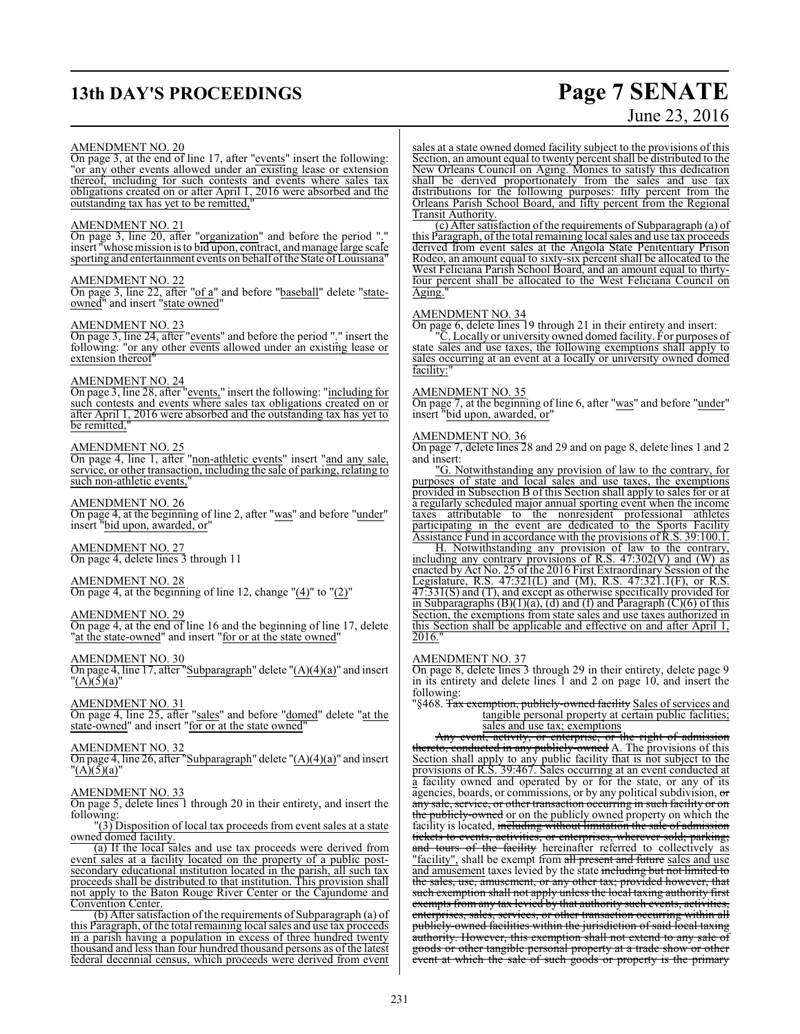## **13th DAY'S PROCEEDINGS Page 7 SENATE**

# June 23, 2016

#### AMENDMENT NO. 20

On page 3, at the end of line 17, after "events" insert the following: "or any other events allowed under an existing lease or extension thereof, including for such contests and events where sales tax obligations created on or after April 1, 2016 were absorbed and the outstanding tax has yet to be remitted,"

#### AMENDMENT NO. 21

On page 3, line 20, after "organization" and before the period "." insert "whose mission is to bid upon, contract, and manage large scale sporting and entertainment events on behalf ofthe State ofLouisiana"

#### AMENDMENT NO. 22

On page 3, line 22, after "of a" and before "baseball" delete "stateowned" and insert "state owned"

#### AMENDMENT NO. 23

On page 3, line 24, after "events" and before the period "." insert the following: "or any other events allowed under an existing lease or extension thereof

#### AMENDMENT NO. 24

On page 3, line 28, after "events," insert the following: "including for such contests and events where sales tax obligations created on or after April 1, 2016 were absorbed and the outstanding tax has yet to be remitted,"

#### AMENDMENT NO. 25

On page 4, line 1, after "non-athletic events" insert "and any sale, service, or other transaction, including the sale of parking, relating to such non-athletic events,

#### AMENDMENT NO. 26

On page 4, at the beginning of line 2, after "was" and before "under" insert "bid upon, awarded, or"

AMENDMENT NO. 27

On page 4, delete lines 3 through 11

#### AMENDMENT NO. 28

On page 4, at the beginning of line 12, change  $"(4)"$  to  $"(2)"$ 

#### AMENDMENT NO. 29

On page 4, at the end of line 16 and the beginning of line 17, delete "at the state-owned" and insert "for or at the state owned"

#### AMENDMENT NO. 30

On page 4, line 17, after "Subparagraph" delete "(A)(4)(a)" and insert  $"({\bf A})$ (5)(a)"

#### AMENDMENT NO. 31

On page 4, line 25, after "sales" and before "<u>domed</u>" delete "at the state-owned" and insert "for or at the state owned"

#### AMENDMENT NO. 32

On page 4, line 26, after "Subparagraph" delete "(A)(4)(a)" and insert "(A)(5)(a)"

#### AMENDMENT NO. 33

On page 5, delete lines 1 through 20 in their entirety, and insert the following:

"(3) Disposition of local tax proceeds from event sales at a state owned domed facility.

(a) If the local sales and use tax proceeds were derived from event sales at a facility located on the property of a public postsecondary educational institution located in the parish, all such tax proceeds shall be distributed to that institution. This provision shall not apply to the Baton Rouge River Center or the Cajundome and Convention Center.

(b) After satisfaction of the requirements of Subparagraph (a) of this Paragraph, of the total remaining local sales and use tax proceeds in a parish having a population in excess of three hundred twenty thousand and less than four hundred thousand persons as of the latest federal decennial census, which proceeds were derived from event

sales at a state owned domed facility subject to the provisions of this Section, an amount equal to twenty percent shall be distributed to the New Orleans Council on Aging. Monies to satisfy this dedication shall be derived proportionately from the sales and use tax distributions for the following purposes: fifty percent from the Orleans Parish School Board, and fifty percent from the Regional Transit Authority.

(c) After satisfaction of the requirements of Subparagraph (a) of this Paragraph, of the total remaining local sales and use tax proceeds derived from event sales at the Angola State Penitentiary Prison Rodeo, an amount equal to sixty-six percent shall be allocated to the West Feliciana Parish School Board, and an amount equal to thirtyfour percent shall be allocated to the West Feliciana Council on Aging."

#### AMENDMENT NO. 34

On page 6, delete lines 19 through 21 in their entirety and insert:

"C. Locally or university owned domed facility. For purposes of state sales and use taxes, the following exemptions shall apply to sales occurring at an event at a locally or university owned domed facility:

#### AMENDMENT NO. 35

On page 7, at the beginning of line 6, after "was" and before "under" insert "bid upon, awarded, or"

#### AMENDMENT NO. 36

On page 7, delete lines 28 and 29 and on page 8, delete lines 1 and 2 and insert:

"G. Notwithstanding any provision of law to the contrary, for purposes of state and local sales and use taxes, the exemptions provided in Subsection B of this Section shall apply to sales for or at a regularly scheduled major annual sporting event when the income taxes attributable to the nonresident professional athletes participating in the event are dedicated to the Sports Facility Assistance Fund in accordance with the provisions of R.S. 39:100.1.

H. Notwithstanding any provision of law to the contrary, including any contrary provisions of R.S. 47:302(V) and (W) as enacted by Act No. 25 of the 2016 First Extraordinary Session of the Legislature, R.S. 47:321(L) and (M), R.S. 47:321.1(F), or R.S. 47:331(S) and (T), and except as otherwise specifically provided for in Subparagraphs (B)(1)(a), (d) and (f) and Paragraph (C)(6) of this Section, the exemptions from state sales and use taxes authorized in this Section shall be applicable and effective on and after April 1, 2016."

#### AMENDMENT NO. 37

On page 8, delete lines 3 through 29 in their entirety, delete page 9 in its entirety and delete lines 1 and 2 on page 10, and insert the following:

§468. Tax exemption, publicly-owned facility Sales of services and tangible personal property at certain public faclities; sales and use tax; exemptions

Any event, activity, or enterprise, or the right of admission thereto, conducted in any publicly-owned A. The provisions of this Section shall apply to any public facility that is not subject to the provisions of R.S. 39:467. Sales occurring at an event conducted at a facility owned and operated by or for the state, or any of its agencies, boards, or commissions, or by any political subdivision, or any sale, service, or other transaction occurring in such facility or on the publicly-owned or on the publicly owned property on which the facility is located, including without limitation the sale of admission tickets to events, activities, or enterprises, wherever sold; parking; and tours of the facility hereinafter referred to collectively as "facility", shall be exempt from all present and future sales and use and amusement taxes levied by the state including but not limited to the sales, use, amusement, or any other tax; provided however, that such exemption shall not apply unless the local taxing authority first exempts from any tax levied by that authority such events, activities enterprises, sales, services, or other transaction occurring within all publicly-owned facilities within the jurisdiction of said local taxing authority. However, this exemption shall not extend to any sale of goods or other tangible personal property at a trade show or other event at which the sale of such goods or property is the primary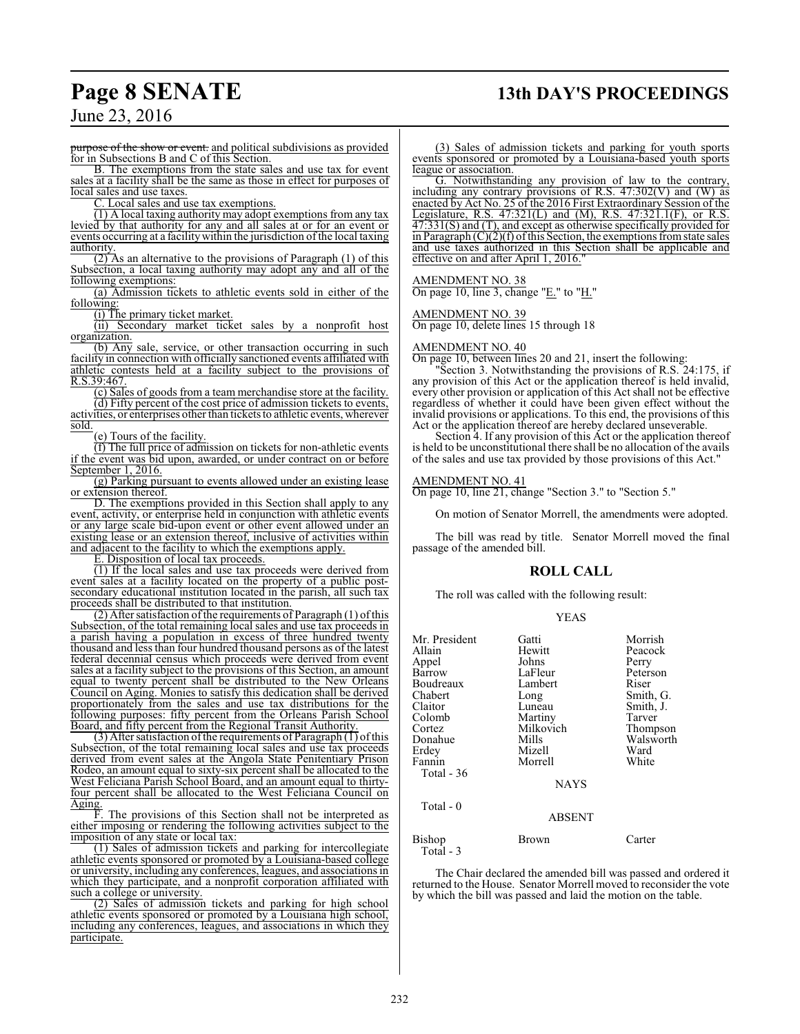## **Page 8 SENATE 13th DAY'S PROCEEDINGS**

June 23, 2016

urpose of the show or event. and political subdivisions as provided for in Subsections B and C of this Section.

B. The exemptions from the state sales and use tax for event sales at a facility shall be the same as those in effect for purposes of local sales and use taxes.

C. Local sales and use tax exemptions.

(1) A local taxing authority may adopt exemptions from any tax levied by that authority for any and all sales at or for an event or events occurring at a facility within the jurisdiction of the local taxing authority

 $(2)$  As an alternative to the provisions of Paragraph  $(1)$  of this Subsection, a local taxing authority may adopt any and all of the following exemptions:

(a) Admission tickets to athletic events sold in either of the following:

(i) The primary ticket market.

(ii) Secondary market ticket sales by a nonprofit host organization.

(b) Any sale, service, or other transaction occurring in such facility in connection with officially sanctioned events affiliated with athletic contests held at a facility subject to the provisions of R.S.39:467.

(c) Sales of goods from a team merchandise store at the facility. (d) Fifty percent of the cost price of admission tickets to events, activities, or enterprises other than tickets to athletic events, wherever sold.

(e) Tours of the facility.

(f) The full price of admission on tickets for non-athletic events if the event was bid upon, awarded, or under contract on or before September 1, 2016.

(g) Parking pursuant to events allowed under an existing lease or extension thereof.

D. The exemptions provided in this Section shall apply to any event, activity, or enterprise held in conjunction with athletic events or any large scale bid-upon event or other event allowed under an existing lease or an extension thereof, inclusive of activities within and adjacent to the facility to which the exemptions apply.

E. Disposition of local tax proceeds.

(1) If the local sales and use tax proceeds were derived from event sales at a facility located on the property of a public postsecondary educational institution located in the parish, all such tax proceeds shall be distributed to that institution.

 $(2)$  After satisfaction of the requirements of Paragraph  $(1)$  of this Subsection, of the total remaining local sales and use tax proceeds in a parish having a population in excess of three hundred twenty thousand and less than four hundred thousand persons as of the latest federal decennial census which proceeds were derived from event sales at a facility subject to the provisions of this Section, an amount equal to twenty percent shall be distributed to the New Orleans Council on Aging. Monies to satisfy this dedication shall be derived proportionately from the sales and use tax distributions for the following purposes: fifty percent from the Orleans Parish School Board, and fifty percent from the Regional Transit Authority.

(3) After satisfaction of the requirements of Paragraph  $(1)$  of this Subsection, of the total remaining local sales and use tax proceeds derived from event sales at the Angola State Penitentiary Prison Rodeo, an amount equal to sixty-six percent shall be allocated to the West Feliciana Parish School Board, and an amount equal to thirtyfour percent shall be allocated to the West Feliciana Council on Aging.

F. The provisions of this Section shall not be interpreted as either imposing or rendering the following activities subject to the imposition of any state or local tax:

(1) Sales of admission tickets and parking for intercollegiate athletic events sponsored or promoted by a Louisiana-based college or university, including any conferences, leagues, and associations in which they participate, and a nonprofit corporation affiliated with such a college or university.

(2) Sales of admission tickets and parking for high school athletic events sponsored or promoted by a Louisiana high school, including any conferences, leagues, and associations in which they participate.

(3) Sales of admission tickets and parking for youth sports events sponsored or promoted by a Louisiana-based youth sports league or association.

G. Notwithstanding any provision of law to the contrary, including any contrary provisions of R.S.  $47:302(V)$  and  $(W)$  as enacted by Act No. 25 of the 2016 First Extraordinary Session of the Legislature, R.S. 47:321(L) and (M), R.S. 47:321.1(F), or R.S. 47:331(S) and (T), and except as otherwise specifically provided for in Paragraph  $(C)(2)(f)$  of this Section, the exemptions from state sales and use taxes authorized in this Section shall be applicable and effective on and after April 1, 2016.

#### AMENDMENT NO. 38

On page 10, line 3, change "E." to "H."

AMENDMENT NO. 39 On page 10, delete lines 15 through 18

#### AMENDMENT NO. 40

On page 10, between lines 20 and 21, insert the following:

"Section 3. Notwithstanding the provisions of R.S. 24:175, if any provision of this Act or the application thereof is held invalid, every other provision or application of this Act shall not be effective regardless of whether it could have been given effect without the invalid provisions or applications. To this end, the provisions of this Act or the application thereof are hereby declared unseverable.

Section 4. If any provision of this Act or the application thereof is held to be unconstitutional there shall be no allocation of the avails of the sales and use tax provided by those provisions of this Act."

#### AMENDMENT NO. 41

On page 10, line 21, change "Section 3." to "Section 5."

On motion of Senator Morrell, the amendments were adopted.

The bill was read by title. Senator Morrell moved the final passage of the amended bill.

#### **ROLL CALL**

The roll was called with the following result:

#### YEAS

| Mr. President<br>Allain<br>Appel<br>Barrow<br>Boudreaux<br>Chabert<br>Claitor<br>Colomb<br>Cortez<br>Donahue<br>Erdey<br>Fannin<br>Total $-36$<br>Total - 0 | Gatti<br>Hewitt<br>Johns<br>LaFleur<br>Lambert<br>Long<br>Luneau<br>Martiny<br>Milkovich<br>Mills<br>Mizell<br>Morrell<br><b>NAYS</b> | Morrish<br>Peacock<br>Perry<br>Peterson<br>Riser<br>Smith, G.<br>Smith, J.<br>Tarver<br>Thompson<br>Walsworth<br>Ward<br>White |
|-------------------------------------------------------------------------------------------------------------------------------------------------------------|---------------------------------------------------------------------------------------------------------------------------------------|--------------------------------------------------------------------------------------------------------------------------------|
|                                                                                                                                                             | <b>ABSENT</b>                                                                                                                         |                                                                                                                                |
| Bishop<br>$Total - 3$                                                                                                                                       | Brown                                                                                                                                 | Carter                                                                                                                         |

The Chair declared the amended bill was passed and ordered it returned to the House. Senator Morrell moved to reconsider the vote by which the bill was passed and laid the motion on the table.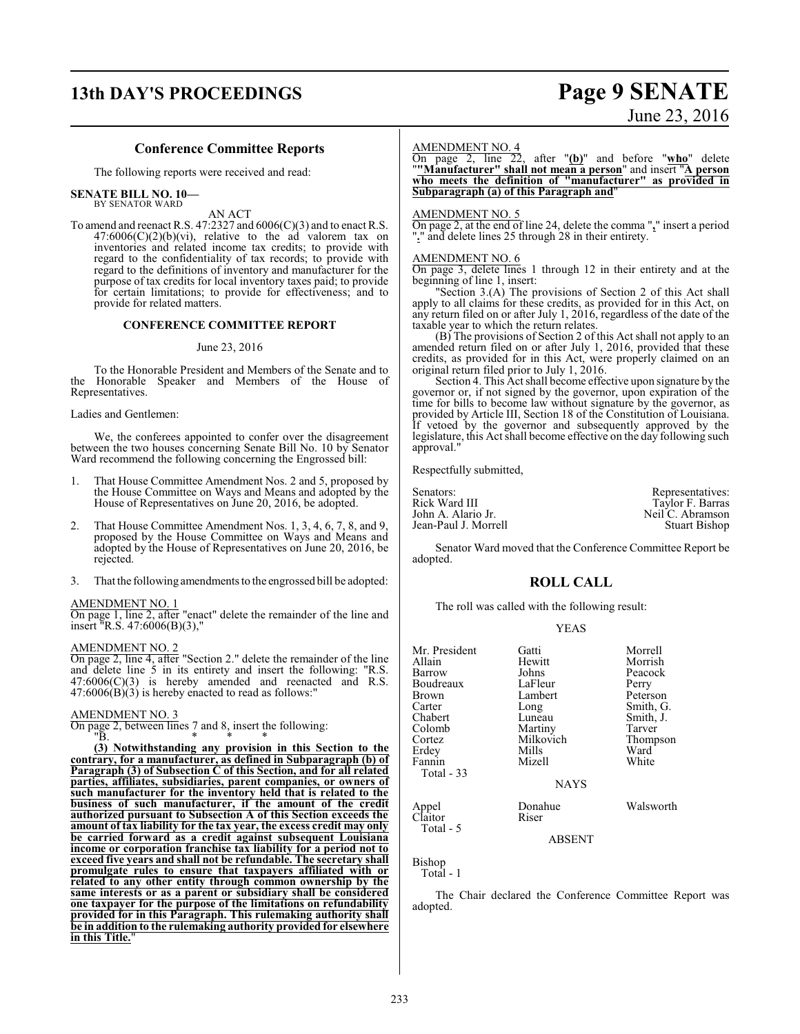## **13th DAY'S PROCEEDINGS Page 9 SENATE**

# June 23, 2016

#### **Conference Committee Reports**

The following reports were received and read:

#### **SENATE BILL NO. 10—** BY SENATOR WARD

AN ACT

To amend and reenact R.S. 47:2327 and 6006(C)(3) and to enact R.S.  $47:6006(C)(2)(b)(vi)$ , relative to the ad valorem tax on inventories and related income tax credits; to provide with regard to the confidentiality of tax records; to provide with regard to the definitions of inventory and manufacturer for the purpose of tax credits for local inventory taxes paid; to provide for certain limitations; to provide for effectiveness; and to provide for related matters.

#### **CONFERENCE COMMITTEE REPORT**

#### June 23, 2016

To the Honorable President and Members of the Senate and to the Honorable Speaker and Members of the House of Representatives.

Ladies and Gentlemen:

We, the conferees appointed to confer over the disagreement between the two houses concerning Senate Bill No. 10 by Senator Ward recommend the following concerning the Engrossed bill:

- 1. That House Committee Amendment Nos. 2 and 5, proposed by the House Committee on Ways and Means and adopted by the House of Representatives on June 20, 2016, be adopted.
- 2. That House Committee Amendment Nos. 1, 3, 4, 6, 7, 8, and 9, proposed by the House Committee on Ways and Means and adopted by the House of Representatives on June 20, 2016, be rejected.
- 3. That the following amendments to the engrossed bill be adopted:

#### AMENDMENT NO. 1

On page 1, line 2, after "enact" delete the remainder of the line and insert "R.S. 47:6006(B)(3),"

#### AMENDMENT NO. 2

On page 2, line 4, after "Section 2." delete the remainder of the line and delete line 5 in its entirety and insert the following: "R.S.  $47:6006(C)(3)$  is hereby amended and reenacted and R.S.  $47:6006(B)(3)$  is hereby enacted to read as follows:"

#### AMENDMENT NO. 3

On page 2, between lines  $\begin{array}{c} 7 \text{ and } 8 \text{, insert the following:} \\ \text{I} \rightarrow \text{I} \end{array}$  $"B.$  \* \* \*

**(3) Notwithstanding any provision in this Section to the contrary, for a manufacturer, as defined in Subparagraph (b) of Paragraph (3) of Subsection C of this Section, and for all related parties, affiliates, subsidiaries, parent companies, or owners of such manufacturer for the inventory held that is related to the business of such manufacturer, if the amount of the credit authorized pursuant to Subsection A of this Section exceeds the amount of tax liability for the tax year, the excess credit may only be carried forward as a credit against subsequent Louisiana income or corporation franchise tax liability for a period not to exceed five years and shall not be refundable. The secretary shall promulgate rules to ensure that taxpayers affiliated with or related to any other entity through common ownership by the same interests or as a parent or subsidiary shall be considered one taxpayer for the purpose of the limitations on refundability provided for in this Paragraph. This rulemaking authority shall be in addition to the rulemaking authority provided for elsewhere in this Title.**"

#### AMENDMENT NO. 4

On page 2, line 22, after "**(b)**" and before "**who**" delete "**"Manufacturer" shall not mean a person**" and insert "**A person who meets the definition of "manufacturer" as provided in Subparagraph (a) of this Paragraph and**"

#### AMENDMENT NO. 5

On page 2, at the end of line 24, delete the comma "**,**" insert a period "**.**" and delete lines 25 through 28 in their entirety.

#### AMENDMENT NO. 6

On page 3, delete lines 1 through 12 in their entirety and at the beginning of line 1, insert:

"Section 3.(A) The provisions of Section 2 of this Act shall apply to all claims for these credits, as provided for in this Act, on any return filed on or after July 1, 2016, regardless of the date of the taxable year to which the return relates.

(B) The provisions of Section 2 of this Act shall not apply to an amended return filed on or after July 1, 2016, provided that these credits, as provided for in this Act, were properly claimed on an original return filed prior to July 1, 2016.

Section 4. This Act shall become effective upon signature by the governor or, if not signed by the governor, upon expiration of the time for bills to become law without signature by the governor, as provided by Article III, Section 18 of the Constitution of Louisiana. If vetoed by the governor and subsequently approved by the legislature, this Act shall become effective on the day following such approval.

Respectfully submitted,

| Senators:            | Representatives:     |
|----------------------|----------------------|
| Rick Ward III        | Taylor F. Barras     |
| John A. Alario Jr.   | Neil C. Abramson     |
| Jean-Paul J. Morrell | <b>Stuart Bishop</b> |

Senator Ward moved that the Conference Committee Report be adopted.

#### **ROLL CALL**

The roll was called with the following result:

|--|

| Mr. President<br>Allain | Gatti<br>Hewitt | Morrell<br>Morrish |
|-------------------------|-----------------|--------------------|
| Barrow                  | Johns           | Peacock            |
| Boudreaux               | LaFleur         | Perry              |
| Brown                   | Lambert         | Peterson           |
| Carter                  | Long            | Smith, G.          |
| Chabert                 | Luneau          | Smith, J.          |
| Colomb                  | Martiny         | Tarver             |
| Cortez                  | Milkovich       | Thompson           |
| Erdey                   | Mills           | Ward               |
| Fannin                  | Mizell          | White              |
| Total - 33              |                 |                    |
|                         | <b>NAYS</b>     |                    |
|                         | Donahue         | Walsworth          |
| Appel<br>Claitor        | Riser           |                    |
| Total - 5               |                 |                    |
|                         |                 |                    |

ABSENT

Bishop

Total - 1

The Chair declared the Conference Committee Report was adopted.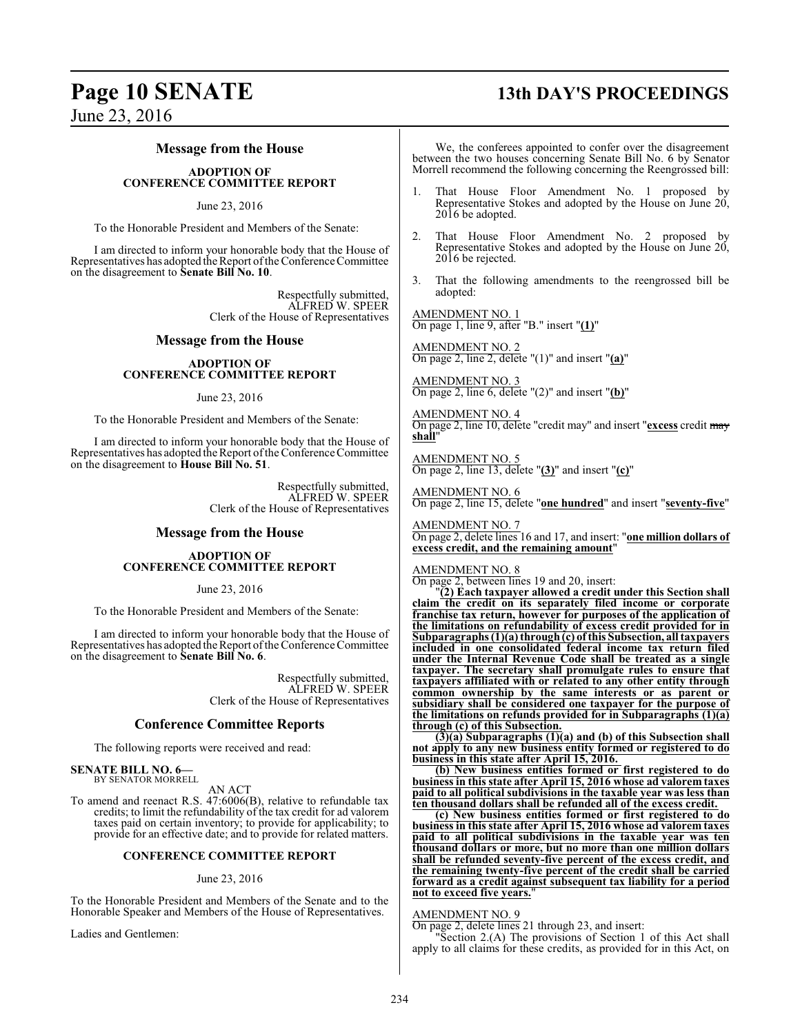## **Page 10 SENATE 13th DAY'S PROCEEDINGS**

June 23, 2016

### **Message from the House**

#### **ADOPTION OF CONFERENCE COMMITTEE REPORT**

#### June 23, 2016

To the Honorable President and Members of the Senate:

I am directed to inform your honorable body that the House of Representatives has adopted the Report ofthe Conference Committee on the disagreement to **Senate Bill No. 10**.

> Respectfully submitted, ALFRED W. SPEER Clerk of the House of Representatives

#### **Message from the House**

#### **ADOPTION OF CONFERENCE COMMITTEE REPORT**

June 23, 2016

To the Honorable President and Members of the Senate:

I am directed to inform your honorable body that the House of Representatives has adopted the Report of the Conference Committee on the disagreement to **House Bill No. 51**.

> Respectfully submitted, ALFRED W. SPEER Clerk of the House of Representatives

#### **Message from the House**

#### **ADOPTION OF CONFERENCE COMMITTEE REPORT**

#### June 23, 2016

To the Honorable President and Members of the Senate:

I am directed to inform your honorable body that the House of Representatives has adopted the Report of the Conference Committee on the disagreement to **Senate Bill No. 6**.

> Respectfully submitted, ALFRED W. SPEER Clerk of the House of Representatives

#### **Conference Committee Reports**

The following reports were received and read:

#### **SENATE BILL NO. 6—** BY SENATOR MORRELL

AN ACT

To amend and reenact R.S. 47:6006(B), relative to refundable tax credits; to limit the refundability of the tax credit for ad valorem taxes paid on certain inventory; to provide for applicability; to provide for an effective date; and to provide for related matters.

#### **CONFERENCE COMMITTEE REPORT**

#### June 23, 2016

To the Honorable President and Members of the Senate and to the Honorable Speaker and Members of the House of Representatives.

Ladies and Gentlemen:

We, the conferees appointed to confer over the disagreement between the two houses concerning Senate Bill No. 6 by Senator Morrell recommend the following concerning the Reengrossed bill:

- That House Floor Amendment No. 1 proposed by Representative Stokes and adopted by the House on June 20, 2016 be adopted.
- 2. That House Floor Amendment No. 2 proposed by Representative Stokes and adopted by the House on June 20, 2016 be rejected.
- 3. That the following amendments to the reengrossed bill be adopted:

AMENDMENT NO. 1 On page 1, line 9, after "B." insert "**(1)**"

AMENDMENT NO. 2 On page 2, line 2, delete "(1)" and insert "**(a)**"

AMENDMENT NO. 3 On page 2, line 6, delete "(2)" and insert "**(b)**"

AMENDMENT NO. 4 On page 2, line 10, delete "credit may" and insert "**excess** credit may **shall**"

AMENDMENT NO. 5 On page 2, line 13, delete "**(3)**" and insert "**(c)**"

AMENDMENT NO. 6 On page 2, line 15, delete "**one hundred**" and insert "**seventy-five**"

AMENDMENT NO. 7 On page 2, delete lines 16 and 17, and insert: "**one million dollars of excess credit, and the remaining amount**"

#### AMENDMENT NO. 8

On page 2, between lines 19 and 20, insert:

"**(2) Each taxpayer allowed a credit under this Section shall claim the credit on its separately filed income or corporate franchise tax return, however for purposes of the application of the limitations on refundability of excess credit provided for in Subparagraphs (1)(a) through(c) of this Subsection, all taxpayers included in one consolidated federal income tax return filed under the Internal Revenue Code shall be treated as a single taxpayer. The secretary shall promulgate rules to ensure that taxpayers affiliated with or related to any other entity through common ownership by the same interests or as parent or subsidiary shall be considered one taxpayer for the purpose of the limitations on refunds provided for in Subparagraphs (1)(a) through (c) of this Subsection.**

**(3)(a) Subparagraphs (1)(a) and (b) of this Subsection shall not apply to any new business entity formed or registered to do business in this state after April 15, 2016.** 

**(b) New business entities formed or first registered to do business in this state after April 15, 2016 whose ad valorem taxes paid to all political subdivisions in the taxable year was less than ten thousand dollars shall be refunded all of the excess credit.**

**(c) New business entities formed or first registered to do business in this state after April 15, 2016 whose ad valorem taxes paid to all political subdivisions in the taxable year was ten thousand dollars or more, but no more than one million dollars shall be refunded seventy-five percent of the excess credit, and the remaining twenty-five percent of the credit shall be carried forward as a credit against subsequent tax liability for a period not to exceed five years.**"

#### AMENDMENT NO. 9

On page 2, delete lines 21 through 23, and insert:

Section 2.(A) The provisions of Section 1 of this Act shall apply to all claims for these credits, as provided for in this Act, on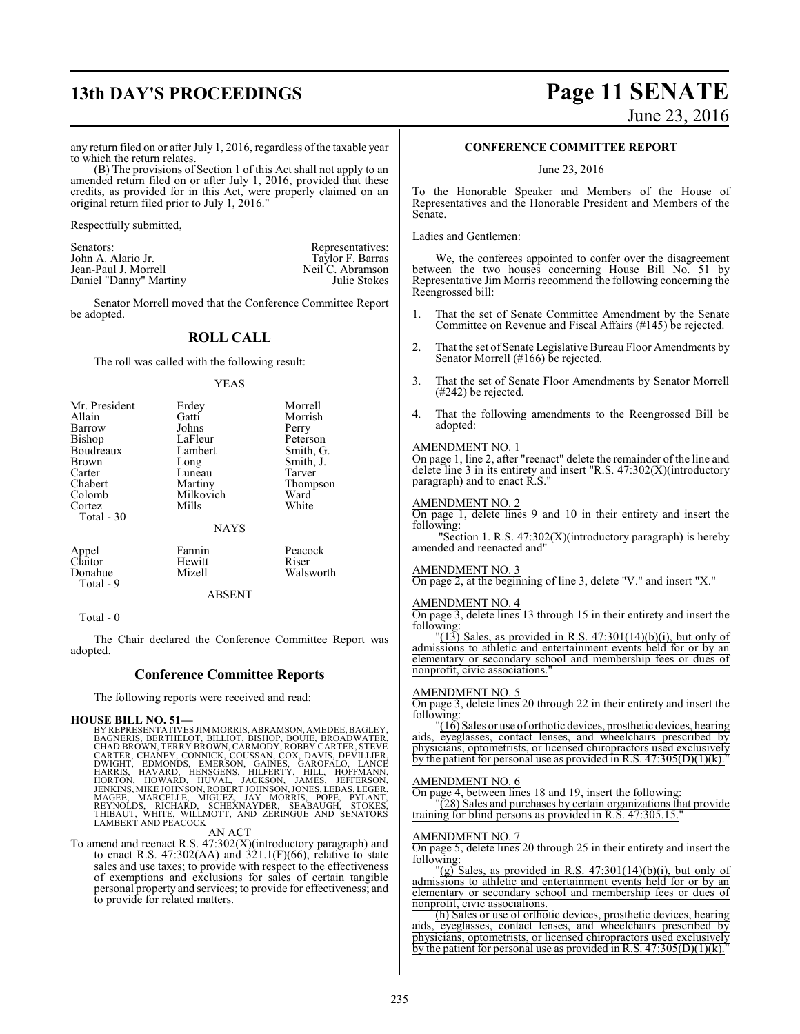# **13th DAY'S PROCEEDINGS Page 11 SENATE**

# June 23, 2016

any return filed on or after July 1, 2016, regardless of the taxable year to which the return relates.

(B) The provisions of Section 1 of this Act shall not apply to an amended return filed on or after July 1, 2016, provided that these credits, as provided for in this Act, were properly claimed on an original return filed prior to July 1, 2016."

Respectfully submitted,

Senators: Representatives: Representatives: John A. Alario Jr. (2008) 2014 12:30 and 2012 12:30 and 2013 12:30 John A. Alario Jr. Taylor F. Barras<br>Jean-Paul J. Morrell Neil C. Abramson Jean-Paul J. Morrell Neil C. Abramson<br>
Daniel "Danny" Martiny Sulie Stokes Daniel "Danny" Martiny

Senator Morrell moved that the Conference Committee Report be adopted.

## **ROLL CALL**

The roll was called with the following result:

#### YEAS

| Mr. President | Erdey       | Morrell   |
|---------------|-------------|-----------|
| Allain        | Gatti       | Morrish   |
| Barrow        | Johns       | Perry     |
| Bishop        | LaFleur     | Peterson  |
| Boudreaux     | Lambert     | Smith, G. |
| Brown         | Long        | Smith, J. |
| Carter        | Luneau      | Tarver    |
| Chabert       | Martiny     | Thompson  |
| Colomb        | Milkovich   | Ward      |
| Cortez        | Mills       | White     |
| Total - 30    |             |           |
|               | <b>NAYS</b> |           |
| Appel         | Fannin      | Peacock   |
| Claitor       | Hewitt      | Riser     |
| Donahue       | Mizell      | Walsworth |
| $Total - 9$   |             |           |

ABSENT

Total - 0

The Chair declared the Conference Committee Report was adopted.

#### **Conference Committee Reports**

The following reports were received and read:

#### **HOUSE BILL NO. 51**

BY REPRESENTATIVES JIM MORRIS, ABRAMSON, AMEDEE, BAGLEY,<br>BAGNERIS, BERTHELOT, BILLIOT, BISHOP, BOUIE, BROADWATER,<br>CHAD BROWN, TERRY BROWN, CARMODY, ROBBY CARTER, STEVE<br>CARTER, CHANEY, CONNICK, COUSSAN, COX, DAVIS, DEVILLER MAGEE, MARCELLE, MIGUEZ, JAY MORRIS, POPE, PYLANT,<br>REYNOLDS, RICHARD, SCHEXNAYDER, SEABAUGH, STOKES,<br>THIBAUT, WHITE, WILLMOTT, AND ZERINGUE AND SENATORS<br>LAMBERTANDPEACOCK

#### AN ACT

To amend and reenact R.S. 47:302(X)(introductory paragraph) and to enact R.S.  $47:302(AA)$  and  $321.1(F)(66)$ , relative to state sales and use taxes; to provide with respect to the effectiveness of exemptions and exclusions for sales of certain tangible personal property and services; to provide for effectiveness; and to provide for related matters.

#### **CONFERENCE COMMITTEE REPORT**

June 23, 2016

To the Honorable Speaker and Members of the House of Representatives and the Honorable President and Members of the Senate.

Ladies and Gentlemen:

We, the conferees appointed to confer over the disagreement between the two houses concerning House Bill No. 51 by Representative Jim Morris recommend the following concerning the Reengrossed bill:

- 1. That the set of Senate Committee Amendment by the Senate Committee on Revenue and Fiscal Affairs (#145) be rejected.
- 2. That the set of Senate Legislative Bureau Floor Amendments by Senator Morrell (#166) be rejected.
- 3. That the set of Senate Floor Amendments by Senator Morrell (#242) be rejected.
- 4. That the following amendments to the Reengrossed Bill be adopted:

#### AMENDMENT NO. 1

On page 1, line 2, after "reenact" delete the remainder of the line and delete line  $3$  in its entirety and insert "R.S.  $47:302(X)$ (introductory paragraph) and to enact R.S."

#### AMENDMENT NO. 2

On page 1, delete lines 9 and 10 in their entirety and insert the following:

"Section 1. R.S. 47:302(X)(introductory paragraph) is hereby amended and reenacted and"

#### AMENDMENT NO. 3

On page 2, at the beginning of line 3, delete "V." and insert "X."

#### AMENDMENT NO. 4

On page 3, delete lines 13 through 15 in their entirety and insert the following:

 $\Gamma(13)$  Sales, as provided in R.S. 47:301(14)(b)(i), but only of admissions to athletic and entertainment events held for or by an elementary or secondary school and membership fees or dues of nonprofit, civic associations."

#### AMENDMENT NO. 5

On page 3, delete lines 20 through 22 in their entirety and insert the following:

"(16) Sales or use of orthotic devices, prosthetic devices, hearing aids, eyeglasses, contact lenses, and wheelchairs prescribed by physicians, optometrists, or licensed chiropractors used exclusively by the patient for personal use as provided in R.S.  $47:305(D)(1)(k)$ ."

#### AMENDMENT NO. 6

On page 4, between lines 18 and 19, insert the following:

"(28) Sales and purchases by certain organizations that provide training for blind persons as provided in R.S. 47:305.15."

#### AMENDMENT NO. 7

On page 5, delete lines 20 through 25 in their entirety and insert the following:

"(g) Sales, as provided in R.S.  $47:301(14)(b)(i)$ , but only of admissions to athletic and entertainment events held for or by an elementary or secondary school and membership fees or dues of nonprofit, civic associations.

(h) Sales or use of orthotic devices, prosthetic devices, hearing aids, eyeglasses, contact lenses, and wheelchairs prescribed by physicians, optometrists, or licensed chiropractors used exclusively by the patient for personal use as provided in R.S.  $47:305(D)(1)(k)$ ."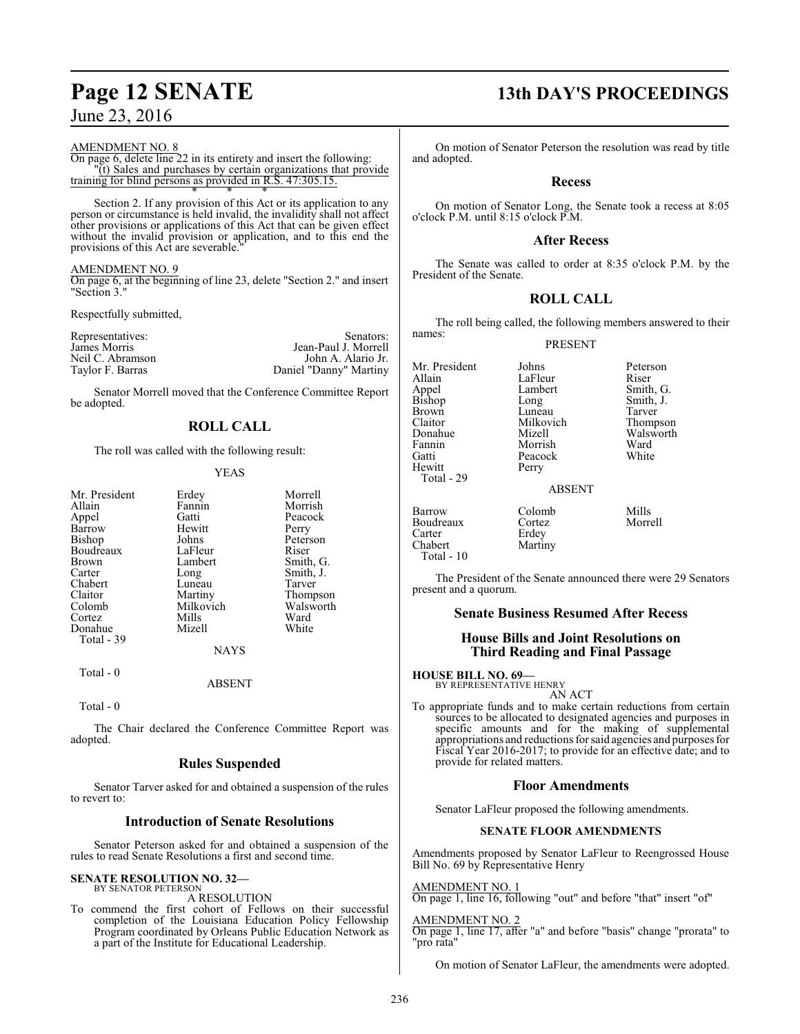AMENDMENT NO. 8

On page 6, delete line 22 in its entirety and insert the following: "(t) Sales and purchases by certain organizations that provide training for blind persons as provided in R.S. 47:305.15. \* \* \*

Section 2. If any provision of this Act or its application to any person or circumstance is held invalid, the invalidity shall not affect other provisions or applications of this Act that can be given effect without the invalid provision or application, and to this end the provisions of this Act are severable."

#### AMENDMENT NO. 9

On page 6, at the beginning of line 23, delete "Section 2." and insert "Section 3."

Respectfully submitted,

| Representatives: | Senators:              |
|------------------|------------------------|
| James Morris     | Jean-Paul J. Morrell   |
| Neil C. Abramson | John A. Alario Jr.     |
| Taylor F. Barras | Daniel "Danny" Martiny |

Senator Morrell moved that the Conference Committee Report be adopted.

## **ROLL CALL**

The roll was called with the following result:

#### YEAS

| Mr. President | Erdey     | Morrell   |
|---------------|-----------|-----------|
| Allain        | Fannin    | Morrish   |
| Appel         | Gatti     | Peacock   |
| Barrow        | Hewitt    | Perry     |
| Bishop        | Johns     | Peterson  |
| Boudreaux     | LaFleur   | Riser     |
| Brown         | Lambert   | Smith, G. |
| Carter        | Long      | Smith, J. |
| Chabert       | Luneau    | Tarver    |
| Claitor       | Martiny   | Thompson  |
| Colomb        | Milkovich | Walsworth |
| Cortez        | Mills     | Ward      |
| Donahue       | Mizell    | White     |
| Total - 39    |           |           |
|               |           |           |

Total - 0

**NAYS** 

ABSENT

Total - 0

The Chair declared the Conference Committee Report was adopted.

#### **Rules Suspended**

Senator Tarver asked for and obtained a suspension of the rules to revert to:

#### **Introduction of Senate Resolutions**

Senator Peterson asked for and obtained a suspension of the rules to read Senate Resolutions a first and second time.

#### **SENATE RESOLUTION NO. 32—** BY SENATOR PETERSON

A RESOLUTION

To commend the first cohort of Fellows on their successful completion of the Louisiana Education Policy Fellowship Program coordinated by Orleans Public Education Network as a part of the Institute for Educational Leadership.

## **Page 12 SENATE 13th DAY'S PROCEEDINGS**

On motion of Senator Peterson the resolution was read by title and adopted.

#### **Recess**

On motion of Senator Long, the Senate took a recess at 8:05 o'clock P.M. until 8:15 o'clock P.M.

#### **After Recess**

The Senate was called to order at 8:35 o'clock P.M. by the President of the Senate.

### **ROLL CALL**

The roll being called, the following members answered to their names:

PRESENT

Mr. President Johns Peterson<br>Allain LaFleur Riser Allain LaFleur<br>Appel Lambert Appel Lambert Smith, G.<br>Bishop Long Smith, J. Bishop Long Smith, J.<br>Brown Luneau Tarver Brown Luneau Tarver<br>Claitor Milkovich Thompson Claitor Milkovich<br>
Donahue Mizell Donahue Mizell Walsworth Fannin Morrish Ward Gatti Peacock<br>
Hewitt Perry Total - 29

#### ABSENT

Barrow Colomb Mills<br>Boudreaux Cortez Morrell Boudreaux<br>Carter Carter Erdey<br>Chabert Martii Martiny Total - 10

Perry

The President of the Senate announced there were 29 Senators present and a quorum.

#### **Senate Business Resumed After Recess**

#### **House Bills and Joint Resolutions on Third Reading and Final Passage**

**HOUSE BILL NO. 69—**

BY REPRESENTATIVE HENRY AN ACT

To appropriate funds and to make certain reductions from certain sources to be allocated to designated agencies and purposes in specific amounts and for the making of supplemental appropriations and reductions for said agencies and purposes for Fiscal Year 2016-2017; to provide for an effective date; and to provide for related matters.

#### **Floor Amendments**

Senator LaFleur proposed the following amendments.

#### **SENATE FLOOR AMENDMENTS**

Amendments proposed by Senator LaFleur to Reengrossed House Bill No. 69 by Representative Henry

AMENDMENT NO. 1

On page 1, line 16, following "out" and before "that" insert "of"

#### AMENDMENT NO. 2

On page 1, line 17, after "a" and before "basis" change "prorata" to "pro rata"

On motion of Senator LaFleur, the amendments were adopted.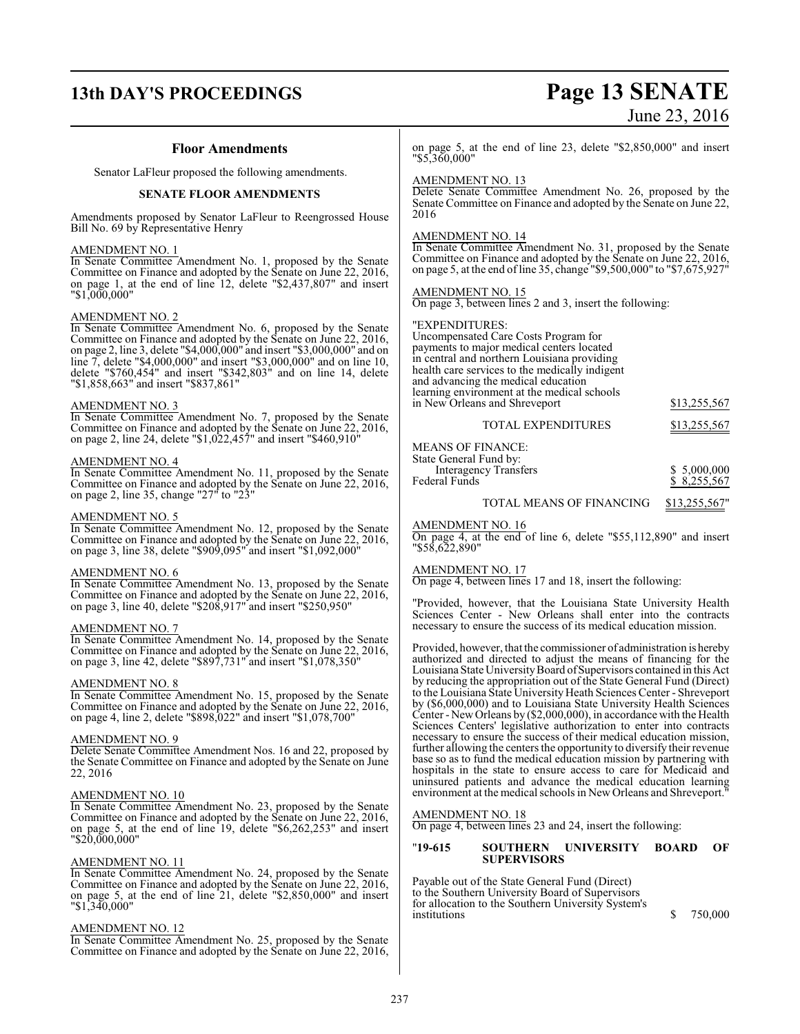## **13th DAY'S PROCEEDINGS Page 13 SENATE**

# June 23, 2016

#### **Floor Amendments**

Senator LaFleur proposed the following amendments.

#### **SENATE FLOOR AMENDMENTS**

Amendments proposed by Senator LaFleur to Reengrossed House Bill No. 69 by Representative Henry

#### AMENDMENT NO. 1

In Senate Committee Amendment No. 1, proposed by the Senate Committee on Finance and adopted by the Senate on June 22, 2016, on page 1, at the end of line 12, delete "\$2,437,807" and insert "\$1,000,000"

#### AMENDMENT NO. 2

In Senate Committee Amendment No. 6, proposed by the Senate Committee on Finance and adopted by the Senate on June 22, 2016, on page 2, line 3, delete "\$4,000,000" and insert "\$3,000,000" and on line 7, delete "\$4,000,000" and insert "\$3,000,000" and on line 10, delete "\$760,454" and insert "\$342,803" and on line 14, delete "\$1,858,663" and insert "\$837,861"

#### AMENDMENT NO. 3

In Senate Committee Amendment No. 7, proposed by the Senate Committee on Finance and adopted by the Senate on June 22, 2016, on page 2, line 24, delete "\$1,022,457" and insert "\$460,910"

#### AMENDMENT NO. 4

In Senate Committee Amendment No. 11, proposed by the Senate Committee on Finance and adopted by the Senate on June 22, 2016, on page 2, line 35, change "27" to "23"

#### AMENDMENT NO. 5

In Senate Committee Amendment No. 12, proposed by the Senate Committee on Finance and adopted by the Senate on June 22, 2016, on page 3, line 38, delete "\$909,095" and insert "\$1,092,000"

#### AMENDMENT NO. 6

In Senate Committee Amendment No. 13, proposed by the Senate Committee on Finance and adopted by the Senate on June 22, 2016, on page 3, line 40, delete "\$208,917" and insert "\$250,950"

#### AMENDMENT NO. 7

In Senate Committee Amendment No. 14, proposed by the Senate Committee on Finance and adopted by the Senate on June 22, 2016, on page 3, line 42, delete "\$897,731" and insert "\$1,078,350"

#### AMENDMENT NO. 8

In Senate Committee Amendment No. 15, proposed by the Senate Committee on Finance and adopted by the Senate on June 22, 2016, on page 4, line 2, delete "\$898,022" and insert "\$1,078,700"

#### AMENDMENT NO. 9

Delete Senate Committee Amendment Nos. 16 and 22, proposed by the Senate Committee on Finance and adopted by the Senate on June 22, 2016

#### AMENDMENT NO. 10

In Senate Committee Amendment No. 23, proposed by the Senate Committee on Finance and adopted by the Senate on June 22, 2016, on page 5, at the end of line 19, delete "\$6,262,253" and insert "\$20,000,000"

#### AMENDMENT NO. 11

In Senate Committee Amendment No. 24, proposed by the Senate Committee on Finance and adopted by the Senate on June 22, 2016, on page 5, at the end of line 21, delete "\$2,850,000" and insert "\$1,340,000"

#### AMENDMENT NO. 12

In Senate Committee Amendment No. 25, proposed by the Senate Committee on Finance and adopted by the Senate on June 22, 2016,

on page 5, at the end of line 23, delete "\$2,850,000" and insert "\$5,360,000"

#### AMENDMENT NO. 13

Delete Senate Committee Amendment No. 26, proposed by the Senate Committee on Finance and adopted by the Senate on June 22, 2016

#### AMENDMENT NO. 14

In Senate Committee Amendment No. 31, proposed by the Senate Committee on Finance and adopted by the Senate on June 22, 2016, on page 5, at the end ofline 35, change "\$9,500,000" to "\$7,675,927"

#### AMENDMENT NO. 15

On page 3, between lines 2 and 3, insert the following:

#### "EXPENDITURES:

Uncompensated Care Costs Program for payments to major medical centers located in central and northern Louisiana providing health care services to the medically indigent and advancing the medical education learning environment at the medical schools in New Orleans and Shreveport \$13,255,567

| <b>TOTAL EXPENDITURES</b>                     | \$13,255,567                |
|-----------------------------------------------|-----------------------------|
| MEANS OF FINANCE:<br>State General Fund by:   |                             |
| <b>Interagency Transfers</b><br>Federal Funds | \$5,000,000<br>\$ 8,255,567 |

#### TOTAL MEANS OF FINANCING \$13,255,567"

#### AMENDMENT NO. 16

On page 4, at the end of line 6, delete "\$55,112,890" and insert "\$58,622,890"

#### AMENDMENT NO. 17

On page 4, between lines 17 and 18, insert the following:

"Provided, however, that the Louisiana State University Health Sciences Center - New Orleans shall enter into the contracts necessary to ensure the success of its medical education mission.

Provided, however, that the commissioner of administration is hereby authorized and directed to adjust the means of financing for the Louisiana State University Board of Supervisors contained in this Act by reducing the appropriation out of the State General Fund (Direct) to the Louisiana State University Heath Sciences Center - Shreveport by (\$6,000,000) and to Louisiana State University Health Sciences Center - NewOrleans by (\$2,000,000), in accordance with the Health Sciences Centers' legislative authorization to enter into contracts necessary to ensure the success of their medical education mission, further allowing the centers the opportunity to diversify their revenue base so as to fund the medical education mission by partnering with hospitals in the state to ensure access to care for Medicaid and uninsured patients and advance the medical education learning environment at the medical schools in New Orleans and Shreveport.

#### AMENDMENT NO. 18

On page 4, between lines 23 and 24, insert the following:

#### "**19-615 SOUTHERN UNIVERSITY BOARD OF SUPERVISORS**

Payable out of the State General Fund (Direct) to the Southern University Board of Supervisors for allocation to the Southern University System's institutions  $\frac{1}{2}$   $\frac{1}{2}$   $\frac{1}{2}$   $\frac{1}{2}$   $\frac{1}{2}$   $\frac{1}{2}$   $\frac{1}{2}$   $\frac{1}{2}$   $\frac{1}{2}$   $\frac{1}{2}$   $\frac{1}{2}$   $\frac{1}{2}$   $\frac{1}{2}$   $\frac{1}{2}$   $\frac{1}{2}$   $\frac{1}{2}$   $\frac{1}{2}$   $\frac{1}{2}$   $\frac{1}{2}$   $\frac{1}{2}$   $\frac{1}{2}$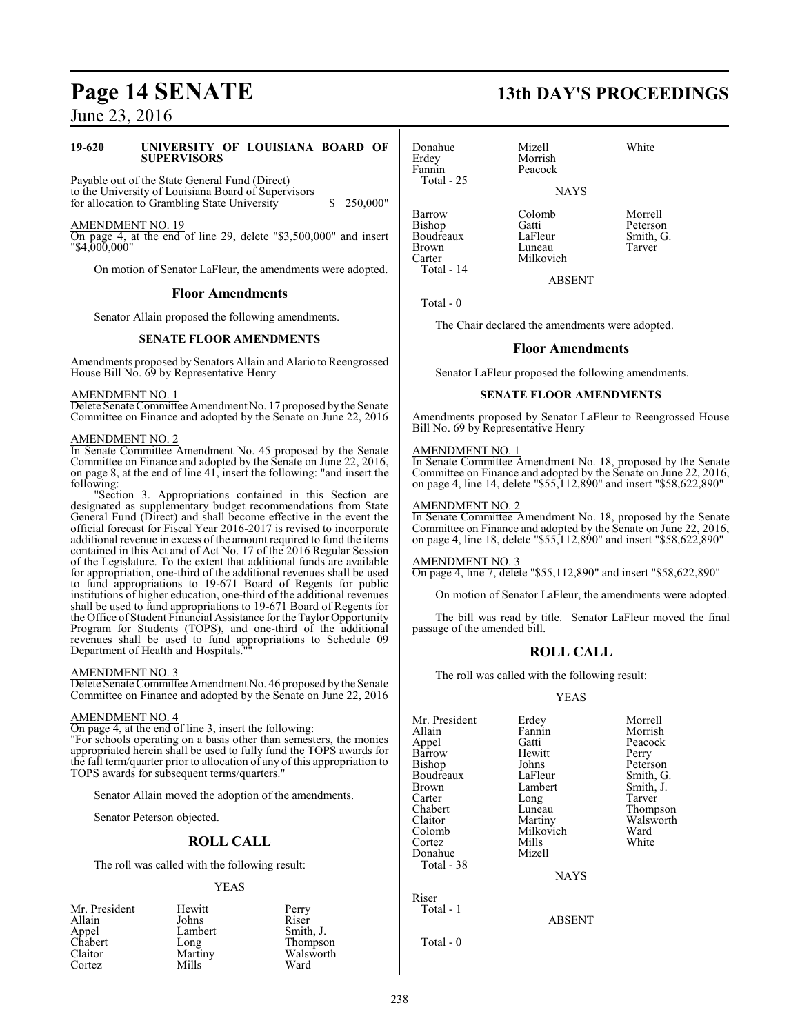#### **19-620 UNIVERSITY OF LOUISIANA BOARD OF SUPERVISORS**

Payable out of the State General Fund (Direct) to the University of Louisiana Board of Supervisors for allocation to Grambling State University  $\qquad$  \$ 250,000"

AMENDMENT NO. 19

On page 4, at the end of line 29, delete "\$3,500,000" and insert "\$4,000,000"

On motion of Senator LaFleur, the amendments were adopted.

#### **Floor Amendments**

Senator Allain proposed the following amendments.

#### **SENATE FLOOR AMENDMENTS**

Amendments proposed by Senators Allain and Alario to Reengrossed House Bill No. 69 by Representative Henry

#### AMENDMENT NO. 1

Delete Senate Committee Amendment No. 17 proposed by the Senate Committee on Finance and adopted by the Senate on June 22, 2016

#### AMENDMENT NO. 2

In Senate Committee Amendment No. 45 proposed by the Senate Committee on Finance and adopted by the Senate on June 22, 2016, on page 8, at the end of line 41, insert the following: "and insert the following:

"Section 3. Appropriations contained in this Section are designated as supplementary budget recommendations from State General Fund (Direct) and shall become effective in the event the official forecast for Fiscal Year 2016-2017 is revised to incorporate additional revenue in excess of the amount required to fund the items contained in this Act and of Act No. 17 of the 2016 Regular Session of the Legislature. To the extent that additional funds are available for appropriation, one-third of the additional revenues shall be used to fund appropriations to 19-671 Board of Regents for public institutions of higher education, one-third of the additional revenues shall be used to fund appropriations to 19-671 Board of Regents for the Office of Student Financial Assistance for the Taylor Opportunity Program for Students (TOPS), and one-third of the additional revenues shall be used to fund appropriations to Schedule 09 Department of Health and Hospitals.""

#### AMENDMENT NO. 3

Delete Senate Committee Amendment No. 46 proposed by the Senate Committee on Finance and adopted by the Senate on June 22, 2016

#### AMENDMENT NO. 4

On page 4, at the end of line 3, insert the following:

"For schools operating on a basis other than semesters, the monies appropriated herein shall be used to fully fund the TOPS awards for the fall term/quarter prior to allocation of any of this appropriation to TOPS awards for subsequent terms/quarters."

Senator Allain moved the adoption of the amendments.

Senator Peterson objected.

#### **ROLL CALL**

The roll was called with the following result:

#### YEAS

| Mr. President | Hewitt  | Perry     |
|---------------|---------|-----------|
| Allain        | Johns   | Riser     |
| Appel         | Lambert | Smith, J. |
| Chabert       | Long    | Thompson  |
| Claitor       | Martiny | Walsworth |
| Cortez        | Mills   | Ward      |

# **Page 14 SENATE 13th DAY'S PROCEEDINGS**

Donahue Mizell White<br>Erdey Morrish White Erdey Morrish<br>Fannin Peacock Total - 25

Peacock

NAYS

Bishop Gatti Peterson Boudreaux LaFleur Smith,<br>Brown Luneau Tarver Brown Luneau<br>Carter Milkovi Total - 14

Barrow Colomb Morrell<br>Bishop Gatti Peterson

ABSENT

Total - 0

The Chair declared the amendments were adopted.

Milkovich

#### **Floor Amendments**

Senator LaFleur proposed the following amendments.

#### **SENATE FLOOR AMENDMENTS**

Amendments proposed by Senator LaFleur to Reengrossed House Bill No. 69 by Representative Henry

#### AMENDMENT NO. 1

In Senate Committee Amendment No. 18, proposed by the Senate Committee on Finance and adopted by the Senate on June 22, 2016, on page 4, line 14, delete "\$55,112,890" and insert "\$58,622,890"

#### AMENDMENT NO. 2

In Senate Committee Amendment No. 18, proposed by the Senate Committee on Finance and adopted by the Senate on June 22, 2016, on page 4, line 18, delete "\$55,112,890" and insert "\$58,622,890"

AMENDMENT NO. 3

On page 4, line 7, delete "\$55,112,890" and insert "\$58,622,890"

On motion of Senator LaFleur, the amendments were adopted.

The bill was read by title. Senator LaFleur moved the final passage of the amended bill.

#### **ROLL CALL**

The roll was called with the following result:

#### YEAS

| Mr. President | Erdey       | Morrell   |
|---------------|-------------|-----------|
| Allain        | Fannin      | Morrish   |
| Appel         | Gatti       | Peacock   |
| Barrow        | Hewitt      | Perry     |
| Bishop        | Johns       | Peterson  |
| Boudreaux     | LaFleur     | Smith, G. |
| Brown         | Lambert     | Smith, J. |
| Carter        | Long        | Tarver    |
| Chabert       | Luneau      | Thompson  |
| Claitor       | Martiny     | Walsworth |
| Colomb        | Milkovich   | Ward      |
| Cortez        | Mills       | White     |
| Donahue       | Mizell      |           |
| Total - 38    |             |           |
|               | <b>NAYS</b> |           |
| Riser         |             |           |
| Total - 1     |             |           |
|               |             |           |

ABSENT

Total - 0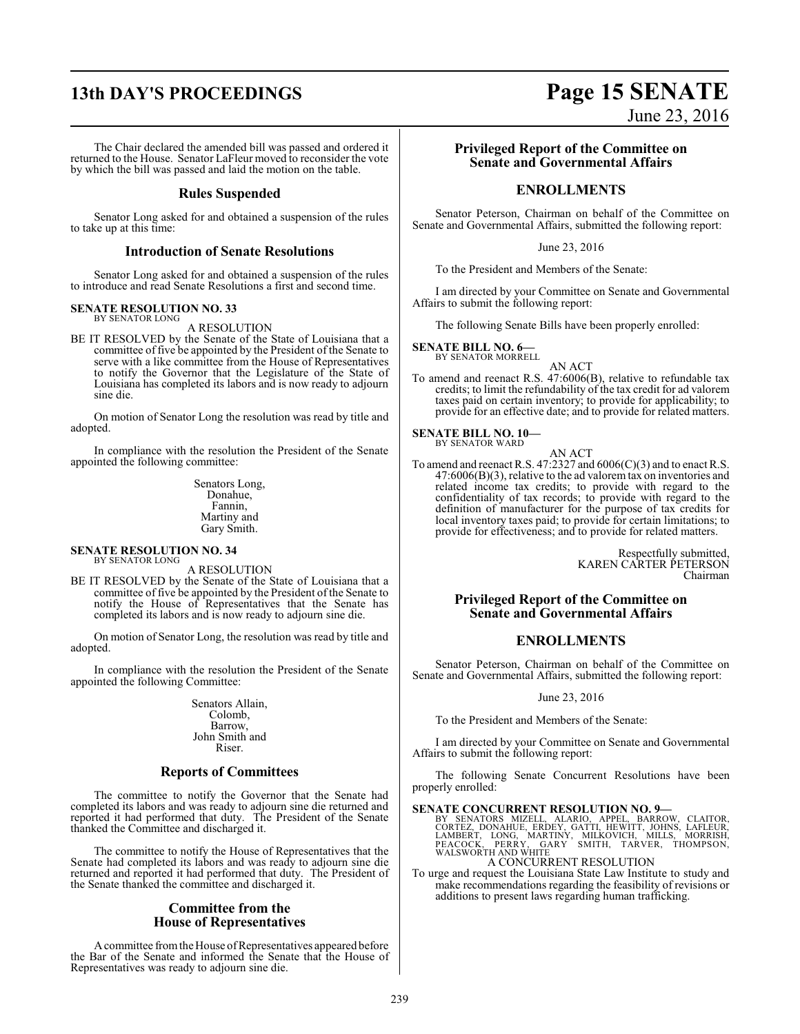## **13th DAY'S PROCEEDINGS Page 15 SENATE**

The Chair declared the amended bill was passed and ordered it returned to the House. Senator LaFleur moved to reconsider the vote by which the bill was passed and laid the motion on the table.

#### **Rules Suspended**

Senator Long asked for and obtained a suspension of the rules to take up at this time:

#### **Introduction of Senate Resolutions**

Senator Long asked for and obtained a suspension of the rules to introduce and read Senate Resolutions a first and second time.

#### **SENATE RESOLUTION NO. 33** BY SENATOR LONG

A RESOLUTION

BE IT RESOLVED by the Senate of the State of Louisiana that a committee of five be appointed by the President of the Senate to serve with a like committee from the House of Representatives to notify the Governor that the Legislature of the State of Louisiana has completed its labors and is now ready to adjourn sine die.

On motion of Senator Long the resolution was read by title and adopted.

In compliance with the resolution the President of the Senate appointed the following committee:

> Senators Long, Donahue, Fannin, Martiny and Gary Smith.

#### **SENATE RESOLUTION NO. 34** BY SENATOR LONG

A RESOLUTION

BE IT RESOLVED by the Senate of the State of Louisiana that a committee of five be appointed by the President of the Senate to notify the House of Representatives that the Senate has completed its labors and is now ready to adjourn sine die.

On motion of Senator Long, the resolution was read by title and adopted.

In compliance with the resolution the President of the Senate appointed the following Committee:

> Senators Allain, Colomb, Barrow, John Smith and Riser.

#### **Reports of Committees**

The committee to notify the Governor that the Senate had completed its labors and was ready to adjourn sine die returned and reported it had performed that duty. The President of the Senate thanked the Committee and discharged it.

The committee to notify the House of Representatives that the Senate had completed its labors and was ready to adjourn sine die returned and reported it had performed that duty. The President of the Senate thanked the committee and discharged it.

#### **Committee from the House of Representatives**

Acommittee fromtheHouse ofRepresentatives appeared before the Bar of the Senate and informed the Senate that the House of Representatives was ready to adjourn sine die.

# **Privileged Report of the Committee on**

June 23, 2016

# **Senate and Governmental Affairs**

### **ENROLLMENTS**

Senator Peterson, Chairman on behalf of the Committee on Senate and Governmental Affairs, submitted the following report:

June 23, 2016

To the President and Members of the Senate:

I am directed by your Committee on Senate and Governmental Affairs to submit the following report:

The following Senate Bills have been properly enrolled:

#### **SENATE BILL NO. 6—**

BY SENATOR MORRELL

AN ACT To amend and reenact R.S. 47:6006(B), relative to refundable tax credits; to limit the refundability of the tax credit for ad valorem taxes paid on certain inventory; to provide for applicability; to provide for an effective date; and to provide for related matters.

#### **SENATE BILL NO. 10—** BY SENATOR WARD

AN ACT To amend and reenact R.S. 47:2327 and 6006(C)(3) and to enact R.S. 47:6006(B)(3), relative to the ad valorem tax on inventories and related income tax credits; to provide with regard to the confidentiality of tax records; to provide with regard to the definition of manufacturer for the purpose of tax credits for local inventory taxes paid; to provide for certain limitations; to provide for effectiveness; and to provide for related matters.

> Respectfully submitted, KAREN CARTER PETERSON Chairman

#### **Privileged Report of the Committee on Senate and Governmental Affairs**

#### **ENROLLMENTS**

Senator Peterson, Chairman on behalf of the Committee on Senate and Governmental Affairs, submitted the following report:

#### June 23, 2016

To the President and Members of the Senate:

I am directed by your Committee on Senate and Governmental Affairs to submit the following report:

The following Senate Concurrent Resolutions have been properly enrolled:

#### **SENATE CONCURRENT RESOLUTION NO. 9—**

BY SENATORS MIZELL, ALARIO, APPEL, BARROW, CLAITOR,<br>CORTEZ, DONAHUE, ERDEY, GATTI, HEWITT, JOHNS, LAFLEUR,<br>LAMBERT, LONG, MARTINY, MILKOVICH, MILLS, MORRISH,<br>PEACOCK, PERRY, GARY SMITH, TARVER, THOMPSON,<br>WALSWORTHANDWHITE

A CONCURRENT RESOLUTION

To urge and request the Louisiana State Law Institute to study and make recommendations regarding the feasibility of revisions or additions to present laws regarding human trafficking.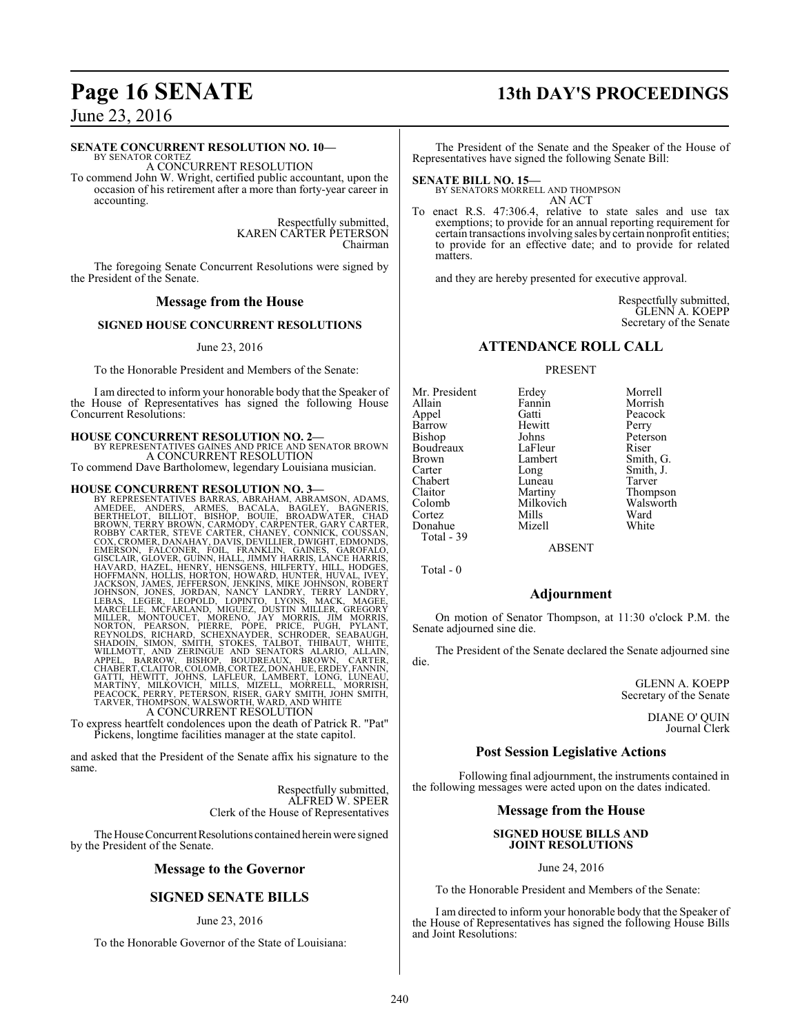#### **SENATE CONCURRENT RESOLUTION NO. 10—**

BY SENATOR CORTEZ A CONCURRENT RESOLUTION

To commend John W. Wright, certified public accountant, upon the occasion of his retirement after a more than forty-year career in accounting.

> Respectfully submitted, KAREN CARTER PETERSON Chairman

The foregoing Senate Concurrent Resolutions were signed by the President of the Senate.

#### **Message from the House**

#### **SIGNED HOUSE CONCURRENT RESOLUTIONS**

#### June 23, 2016

To the Honorable President and Members of the Senate:

I am directed to inform your honorable body that the Speaker of the House of Representatives has signed the following House Concurrent Resolutions:

#### **HOUSE CONCURRENT RESOLUTION NO. 2—**

BY REPRESENTATIVES GAINES AND PRICE AND SENATOR BROWN A CONCURRENT RESOLUTION

To commend Dave Bartholomew, legendary Louisiana musician.

#### **HOUSE CONCURRENT RESOLUTION NO. 3—**

BY REPRESENTATIVES BARRAS, ABRAHAM, ABRAMSON, ADAMS,<br>AMEDEE, ANDERS, ARMES, BACALA, BAGLEY, BAGNERIS,<br>BERTHELOT, BILLIOT, BISHOP, BOUIE, BROADWATER, CHAD<br>BROWN, TERRY BROWN, CARMODY, CARPENTER, GARY CARTER,<br>ROBBY CARTER, S EMERSON, FALCONER, FOIL, FRANKLIN, GAINES, GAROFALO,<br>GISCLAIR, GLOVER, GUINN, HALL, IMMY HARRIS, LANCE HARRIS,<br>HAVARD, HAZEL, HENRY, HENSGENS, HILFERTY, HILL, HODGES,<br>HOFFMANN, HOLLIS, HORTON, HOWARD, HUNTER, HUVAL, IVEY,<br>

To express heartfelt condolences upon the death of Patrick R. "Pat" Pickens, longtime facilities manager at the state capitol.

and asked that the President of the Senate affix his signature to the same.

> Respectfully submitted, ALFRED W. SPEER Clerk of the House of Representatives

The House Concurrent Resolutions contained herein were signed by the President of the Senate.

#### **Message to the Governor**

## **SIGNED SENATE BILLS**

#### June 23, 2016

To the Honorable Governor of the State of Louisiana:

## **Page 16 SENATE 13th DAY'S PROCEEDINGS**

The President of the Senate and the Speaker of the House of Representatives have signed the following Senate Bill:

#### **SENATE BILL NO. 15—**

BY SENATORS MORRELL AND THOMPSON AN ACT

To enact R.S. 47:306.4, relative to state sales and use tax exemptions; to provide for an annual reporting requirement for certain transactions involving sales by certain nonprofit entities; to provide for an effective date; and to provide for related matters.

and they are hereby presented for executive approval.

Respectfully submitted, GLENN A. KOEPP Secretary of the Senate

### **ATTENDANCE ROLL CALL**

#### PRESENT

| Mr. President | Erdey     | Morrell   |
|---------------|-----------|-----------|
| Allain        | Fannin    | Morrish   |
| Appel         | Gatti     | Peacock   |
| Barrow        | Hewitt    | Perry     |
| <b>Bishop</b> | Johns     | Peterson  |
| Boudreaux     | LaFleur   | Riser     |
| <b>Brown</b>  | Lambert   | Smith, G. |
| Carter        | Long      | Smith, J. |
| Chabert       | Luneau    | Tarver    |
| Claitor       | Martiny   | Thompson  |
| Colomb        | Milkovich | Walsworth |
| Cortez        | Mills     | Ward      |
| Donahue       | Mizell    | White     |

Smith, J.<br>Tarver

ABSENT

Total - 0

Total - 39

#### **Adjournment**

On motion of Senator Thompson, at 11:30 o'clock P.M. the Senate adjourned sine die.

The President of the Senate declared the Senate adjourned sine die.

> GLENN A. KOEPP Secretary of the Senate

> > DIANE O' QUIN Journal Clerk

#### **Post Session Legislative Actions**

Following final adjournment, the instruments contained in the following messages were acted upon on the dates indicated.

#### **Message from the House**

#### **SIGNED HOUSE BILLS AND JOINT RESOLUTIONS**

June 24, 2016

To the Honorable President and Members of the Senate:

I am directed to inform your honorable body that the Speaker of the House of Representatives has signed the following House Bills and Joint Resolutions: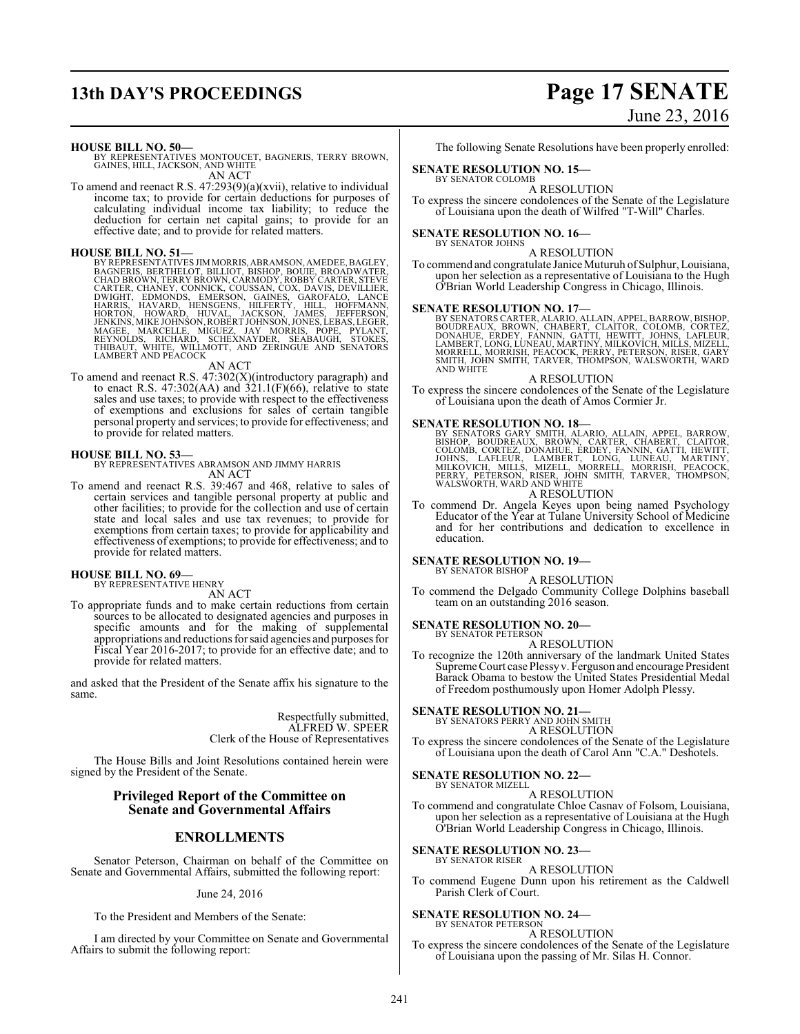## **13th DAY'S PROCEEDINGS Page 17 SENATE**

# June 23, 2016

#### **HOUSE BILL NO. 50—**

BY REPRESENTATIVES MONTOUCET, BAGNERIS, TERRY BROWN, GAINES, HILL, JACKSON, AND WHITE AN ACT

To amend and reenact R.S. 47:293(9)(a)(xvii), relative to individual income tax; to provide for certain deductions for purposes of calculating individual income tax liability; to reduce the deduction for certain net capital gains; to provide for an effective date; and to provide for related matters.

HOUSE BILL NO. 51—<br>BY REPRESENTATIVES JIMMORRIS, ABRAMSON, AMEDEE, BAGLEY, BAGNERIS, BERTHELOT, BILLIOT, BISHOP, BOUIE, BROADWATER,<br>CHAD BROWN, TERRY BROWN, CARMODY, ROBBY CARTER, STEVE<br>CARTER, CHANEY, CONNICK, COUSSAN, CO

#### AN ACT

To amend and reenact R.S. 47:302(X)(introductory paragraph) and to enact R.S.  $47:302(AA)$  and  $321.1(F)(66)$ , relative to state sales and use taxes; to provide with respect to the effectiveness of exemptions and exclusions for sales of certain tangible personal property and services; to provide for effectiveness; and to provide for related matters.

#### **HOUSE BILL NO. 53—**

BY REPRESENTATIVES ABRAMSON AND JIMMY HARRIS AN ACT

To amend and reenact R.S. 39:467 and 468, relative to sales of certain services and tangible personal property at public and other facilities; to provide for the collection and use of certain state and local sales and use tax revenues; to provide for exemptions from certain taxes; to provide for applicability and effectiveness of exemptions; to provide for effectiveness; and to provide for related matters.

#### **HOUSE BILL NO. 69—** BY REPRESENTATIVE HENRY

AN ACT

To appropriate funds and to make certain reductions from certain sources to be allocated to designated agencies and purposes in specific amounts and for the making of supplemental appropriations and reductions forsaid agencies and purposes for Fiscal Year 2016-2017; to provide for an effective date; and to provide for related matters.

and asked that the President of the Senate affix his signature to the same.

> Respectfully submitted, ALFRED W. SPEER Clerk of the House of Representatives

The House Bills and Joint Resolutions contained herein were signed by the President of the Senate.

#### **Privileged Report of the Committee on Senate and Governmental Affairs**

#### **ENROLLMENTS**

Senator Peterson, Chairman on behalf of the Committee on Senate and Governmental Affairs, submitted the following report:

#### June 24, 2016

To the President and Members of the Senate:

I am directed by your Committee on Senate and Governmental Affairs to submit the following report:

The following Senate Resolutions have been properly enrolled:

#### **SENATE RESOLUTION NO. 15—**

BY SENATOR COLOMB A RESOLUTION

To express the sincere condolences of the Senate of the Legislature of Louisiana upon the death of Wilfred "T-Will" Charles.

#### **SENATE RESOLUTION NO. 16—**

BY SENATOR JOHNS A RESOLUTION

To commend and congratulate Janice Muturuh of Sulphur, Louisiana, upon her selection as a representative of Louisiana to the Hugh O'Brian World Leadership Congress in Chicago, Illinois.

#### **SENATE RESOLUTION NO. 17—**

BY SENATORS CARTER, ALARIO, ALLAIN, APPEL, BARROW, BISHOP,<br>BOUDREAUX, BROWN, CHABERT, CLAITOR, COLOMB, CORTEZ,<br>DONAHUE, ERDEY, FANNIN, GATTI, HEWITT, JOHNS, LAFLEUR,<br>LAMBERT, LONG, LUNEAU, MARTINY, MILKOVICH, M

#### A RESOLUTION

To express the sincere condolences of the Senate of the Legislature of Louisiana upon the death of Amos Cormier Jr.

#### **SENATE RESOLUTION NO. 18—**

BY SENATORS GARY SMITH, ALARIO, ALLAIN, APPEL, BARROW, BISHOP, BOUDREAUX, BROWN, CANTER, CHABERT, CLAITOR, COLOMB, CORTEZ, DONAHUE, ÉRDEY, FANNIN, GATTI, HEWITT, JOHNS, LAFLEUR, LAMBERT, LONG, LUNÉAU, MARTINY, MILKOVICH, M

To commend Dr. Angela Keyes upon being named Psychology Educator of the Year at Tulane University School of Medicine and for her contributions and dedication to excellence in

## **SENATE RESOLUTION NO. 19—**

education.

BY SENATOR BISHOP

A RESOLUTION To commend the Delgado Community College Dolphins baseball team on an outstanding 2016 season.

# **SENATE RESOLUTION NO. 20—** BY SENATOR PETERSON

A RESOLUTION

To recognize the 120th anniversary of the landmark United States Supreme Court case Plessyv. Ferguson and encourage President Barack Obama to bestow the United States Presidential Medal of Freedom posthumously upon Homer Adolph Plessy.

**SENATE RESOLUTION NO. 21—** BY SENATORS PERRY AND JOHN SMITH

### A RESOLUTION

To express the sincere condolences of the Senate of the Legislature of Louisiana upon the death of Carol Ann "C.A." Deshotels.

#### **SENATE RESOLUTION NO. 22—**

BY SENATOR MIZELL A RESOLUTION

To commend and congratulate Chloe Casnav of Folsom, Louisiana, upon her selection as a representative of Louisiana at the Hugh O'Brian World Leadership Congress in Chicago, Illinois.

#### **SENATE RESOLUTION NO. 23—**

BY SENATOR RISER A RESOLUTION

To commend Eugene Dunn upon his retirement as the Caldwell Parish Clerk of Court.

## **SENATE RESOLUTION NO. 24—**<br>BY SENATOR PETERSON

A RESOLUTION

To express the sincere condolences of the Senate of the Legislature of Louisiana upon the passing of Mr. Silas H. Connor.